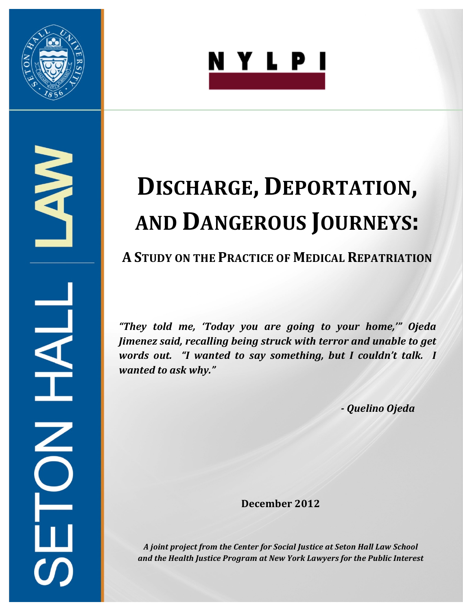



# NA HALL  $\overline{\textbf{C}}$

# **DISCHARGE, DEPORTATION, AND DANGEROUS JOURNEYS:**

# **A STUDY ON THE PRACTICE OF MEDICAL REPATRIATION**

*"They! told! me,! 'Today! you! are! going! to! your! home,'"! Ojeda! Jimenez said, recalling being struck with terror and unable to get words out. "I wanted to say something, but I couldn't talk. I* wanted to ask why."

*A Quelino!Ojeda!*

**December 2012**

A joint project from the Center for Social Justice at Seton Hall Law School and the Health Justice Program at New York Lawyers for the Public Interest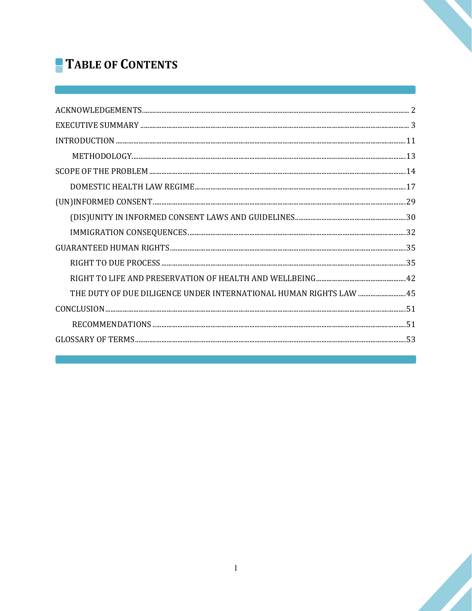# **TABLE OF CONTENTS**

| THE DUTY OF DUE DILIGENCE UNDER INTERNATIONAL HUMAN RIGHTS LAW  45 |  |
|--------------------------------------------------------------------|--|
|                                                                    |  |
|                                                                    |  |
|                                                                    |  |
|                                                                    |  |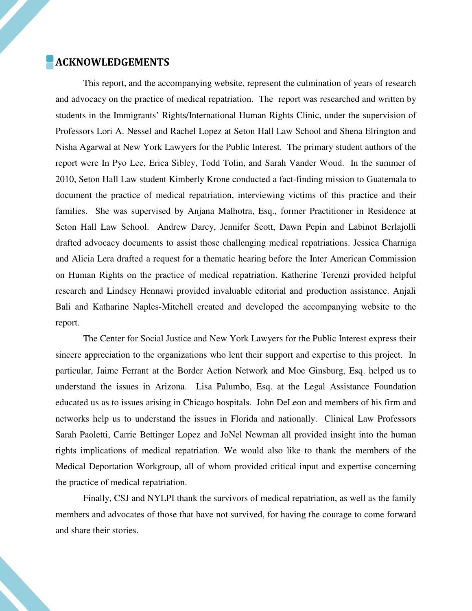#### ACKNOWLEDGEMENTS

This report, and the accompanying website, represent the culmination of years of research and advocacy on the practice of medical repatriation. The report was researched and written by students in the Immigrants' Rights/International Human Rights Clinic, under the supervision of Professors Lori A. Nessel and Rachel Lopez at Seton Hall Law School and Shena Elrington and Nisha Agarwal at New York Lawyers for the Public Interest. The primary student authors of the report were In Pyo Lee, Erica Sibley, Todd Tolin, and Sarah Vander Woud. In the summer of 2010, Seton Hall Law student Kimberly Krone conducted a fact-finding mission to Guatemala to document the practice of medical repatriation, interviewing victims of this practice and their families. She was supervised by Anjana Malhotra, Esq., former Practitioner in Residence at Seton Hall Law School. Andrew Darcy, Jennifer Scott, Dawn Pepin and Labinot Berlajolli drafted advocacy documents to assist those challenging medical repatriations. Jessica Charniga and Alicia Lera drafted a request for a thematic hearing before the Inter American Commission on Human Rights on the practice of medical repatriation. Katherine Terenzi provided helpful research and Lindsey Hennawi provided invaluable editorial and production assistance. Anjali Bali and Katharine Naples-Mitchell created and developed the accompanying website to the report.

The Center for Social Justice and New York Lawyers for the Public Interest express their sincere appreciation to the organizations who lent their support and expertise to this project. In particular, Jaime Ferrant at the Border Action Network and Moe Ginsburg, Esq. helped us to understand the issues in Arizona. Lisa Palumbo, Esq. at the Legal Assistance Foundation educated us as to issues arising in Chicago hospitals. John DeLeon and members of his firm and networks help us to understand the issues in Florida and nationally. Clinical Law Professors Sarah Paoletti, Carrie Bettinger Lopez and JoNel Newman all provided insight into the human rights implications of medical repatriation. We would also like to thank the members of the Medical Deportation Workgroup, all of whom provided critical input and expertise concerning the practice of medical repatriation.

Finally, CSJ and NYLPI thank the survivors of medical repatriation, as well as the family members and advocates of those that have not survived, for having the courage to come forward and share their stories.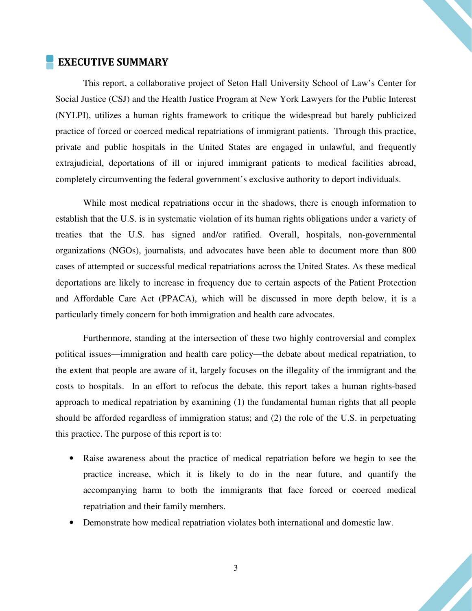#### EXECUTIVE SUMMARY

This report, a collaborative project of Seton Hall University School of Law's Center for Social Justice (CSJ) and the Health Justice Program at New York Lawyers for the Public Interest (NYLPI), utilizes a human rights framework to critique the widespread but barely publicized practice of forced or coerced medical repatriations of immigrant patients. Through this practice, private and public hospitals in the United States are engaged in unlawful, and frequently extrajudicial, deportations of ill or injured immigrant patients to medical facilities abroad, completely circumventing the federal government's exclusive authority to deport individuals.

While most medical repatriations occur in the shadows, there is enough information to establish that the U.S. is in systematic violation of its human rights obligations under a variety of treaties that the U.S. has signed and/or ratified. Overall, hospitals, non-governmental organizations (NGOs), journalists, and advocates have been able to document more than 800 cases of attempted or successful medical repatriations across the United States. As these medical deportations are likely to increase in frequency due to certain aspects of the Patient Protection and Affordable Care Act (PPACA), which will be discussed in more depth below, it is a particularly timely concern for both immigration and health care advocates.

Furthermore, standing at the intersection of these two highly controversial and complex political issues—immigration and health care policy—the debate about medical repatriation, to the extent that people are aware of it, largely focuses on the illegality of the immigrant and the costs to hospitals. In an effort to refocus the debate, this report takes a human rights-based approach to medical repatriation by examining (1) the fundamental human rights that all people should be afforded regardless of immigration status; and (2) the role of the U.S. in perpetuating this practice. The purpose of this report is to:

- Raise awareness about the practice of medical repatriation before we begin to see the practice increase, which it is likely to do in the near future, and quantify the accompanying harm to both the immigrants that face forced or coerced medical repatriation and their family members.
- Demonstrate how medical repatriation violates both international and domestic law.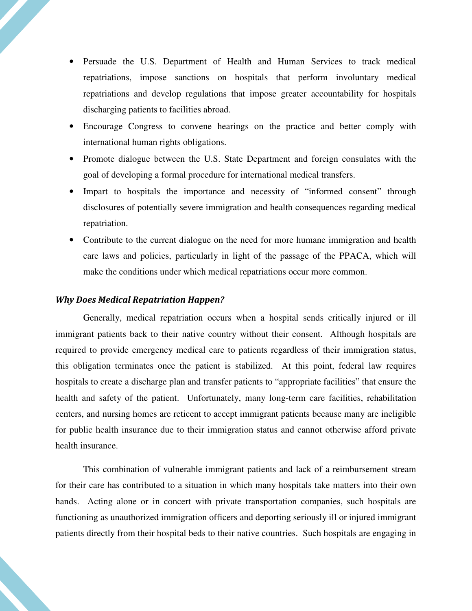- Persuade the U.S. Department of Health and Human Services to track medical repatriations, impose sanctions on hospitals that perform involuntary medical repatriations and develop regulations that impose greater accountability for hospitals discharging patients to facilities abroad.
- Encourage Congress to convene hearings on the practice and better comply with international human rights obligations.
- Promote dialogue between the U.S. State Department and foreign consulates with the goal of developing a formal procedure for international medical transfers.
- Impart to hospitals the importance and necessity of "informed consent" through disclosures of potentially severe immigration and health consequences regarding medical repatriation.
- Contribute to the current dialogue on the need for more humane immigration and health care laws and policies, particularly in light of the passage of the PPACA, which will make the conditions under which medical repatriations occur more common.

#### Why Does Medical Repatriation Happen?

Generally, medical repatriation occurs when a hospital sends critically injured or ill immigrant patients back to their native country without their consent. Although hospitals are required to provide emergency medical care to patients regardless of their immigration status, this obligation terminates once the patient is stabilized. At this point, federal law requires hospitals to create a discharge plan and transfer patients to "appropriate facilities" that ensure the health and safety of the patient. Unfortunately, many long-term care facilities, rehabilitation centers, and nursing homes are reticent to accept immigrant patients because many are ineligible for public health insurance due to their immigration status and cannot otherwise afford private health insurance.

This combination of vulnerable immigrant patients and lack of a reimbursement stream for their care has contributed to a situation in which many hospitals take matters into their own hands. Acting alone or in concert with private transportation companies, such hospitals are functioning as unauthorized immigration officers and deporting seriously ill or injured immigrant patients directly from their hospital beds to their native countries. Such hospitals are engaging in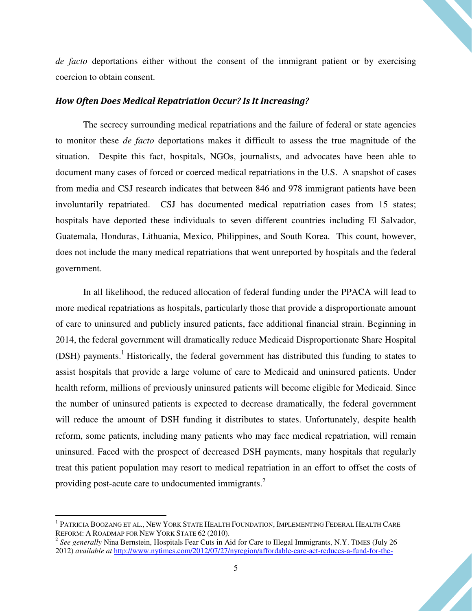*de facto* deportations either without the consent of the immigrant patient or by exercising coercion to obtain consent.

#### How Often Does Medical Repatriation Occur? Is It Increasing?

The secrecy surrounding medical repatriations and the failure of federal or state agencies to monitor these *de facto* deportations makes it difficult to assess the true magnitude of the situation. Despite this fact, hospitals, NGOs, journalists, and advocates have been able to document many cases of forced or coerced medical repatriations in the U.S. A snapshot of cases from media and CSJ research indicates that between 846 and 978 immigrant patients have been involuntarily repatriated. CSJ has documented medical repatriation cases from 15 states; hospitals have deported these individuals to seven different countries including El Salvador, Guatemala, Honduras, Lithuania, Mexico, Philippines, and South Korea. This count, however, does not include the many medical repatriations that went unreported by hospitals and the federal government.

In all likelihood, the reduced allocation of federal funding under the PPACA will lead to more medical repatriations as hospitals, particularly those that provide a disproportionate amount of care to uninsured and publicly insured patients, face additional financial strain. Beginning in 2014, the federal government will dramatically reduce Medicaid Disproportionate Share Hospital (DSH) payments.<sup>1</sup> Historically, the federal government has distributed this funding to states to assist hospitals that provide a large volume of care to Medicaid and uninsured patients. Under health reform, millions of previously uninsured patients will become eligible for Medicaid. Since the number of uninsured patients is expected to decrease dramatically, the federal government will reduce the amount of DSH funding it distributes to states. Unfortunately, despite health reform, some patients, including many patients who may face medical repatriation, will remain uninsured. Faced with the prospect of decreased DSH payments, many hospitals that regularly treat this patient population may resort to medical repatriation in an effort to offset the costs of providing post-acute care to undocumented immigrants.<sup>2</sup>

 $^{\rm 1}$  Patricia Boozang et al., New York State Health Foundation, Implementing Federal Health Care REFORM: A ROADMAP FOR NEW YORK STATE 62 (2010).

<sup>&</sup>lt;sup>2</sup> See generally Nina Bernstein, Hospitals Fear Cuts in Aid for Care to Illegal Immigrants, N.Y. TIMES (July 26 2012) *available at* http://www.nytimes.com/2012/07/27/nyregion/affordable-care-act-reduces-a-fund-for-the-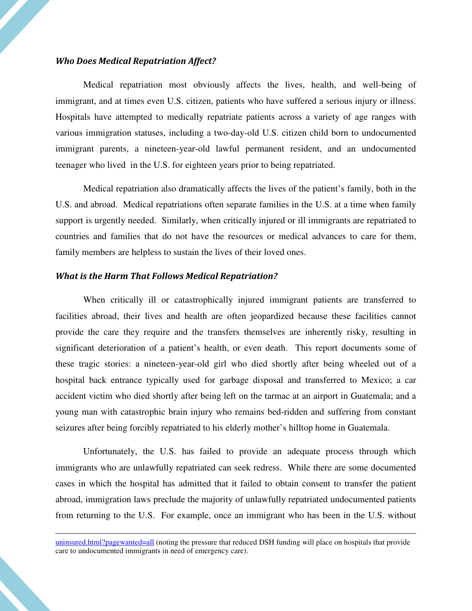#### Who Does Medical Repatriation Affect?

Medical repatriation most obviously affects the lives, health, and well-being of immigrant, and at times even U.S. citizen, patients who have suffered a serious injury or illness. Hospitals have attempted to medically repatriate patients across a variety of age ranges with various immigration statuses, including a two-day-old U.S. citizen child born to undocumented immigrant parents, a nineteen-year-old lawful permanent resident, and an undocumented teenager who lived in the U.S. for eighteen years prior to being repatriated.

Medical repatriation also dramatically affects the lives of the patient's family, both in the U.S. and abroad. Medical repatriations often separate families in the U.S. at a time when family support is urgently needed. Similarly, when critically injured or ill immigrants are repatriated to countries and families that do not have the resources or medical advances to care for them, family members are helpless to sustain the lives of their loved ones.

#### What is the Harm That Follows Medical Repatriation?

 $\overline{a}$ 

When critically ill or catastrophically injured immigrant patients are transferred to facilities abroad, their lives and health are often jeopardized because these facilities cannot provide the care they require and the transfers themselves are inherently risky, resulting in significant deterioration of a patient's health, or even death. This report documents some of these tragic stories: a nineteen-year-old girl who died shortly after being wheeled out of a hospital back entrance typically used for garbage disposal and transferred to Mexico; a car accident victim who died shortly after being left on the tarmac at an airport in Guatemala; and a young man with catastrophic brain injury who remains bed-ridden and suffering from constant seizures after being forcibly repatriated to his elderly mother's hilltop home in Guatemala.

Unfortunately, the U.S. has failed to provide an adequate process through which immigrants who are unlawfully repatriated can seek redress. While there are some documented cases in which the hospital has admitted that it failed to obtain consent to transfer the patient abroad, immigration laws preclude the majority of unlawfully repatriated undocumented patients from returning to the U.S. For example, once an immigrant who has been in the U.S. without

uninsured.html?pagewanted=all (noting the pressure that reduced DSH funding will place on hospitals that provide care to undocumented immigrants in need of emergency care).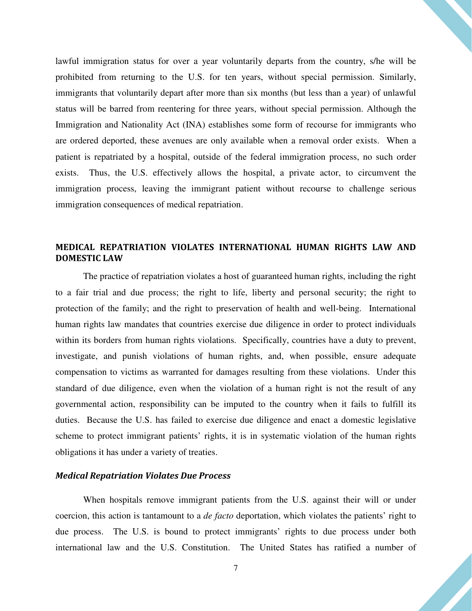lawful immigration status for over a year voluntarily departs from the country, s/he will be prohibited from returning to the U.S. for ten years, without special permission. Similarly, immigrants that voluntarily depart after more than six months (but less than a year) of unlawful status will be barred from reentering for three years, without special permission. Although the Immigration and Nationality Act (INA) establishes some form of recourse for immigrants who are ordered deported, these avenues are only available when a removal order exists. When a patient is repatriated by a hospital, outside of the federal immigration process, no such order exists. Thus, the U.S. effectively allows the hospital, a private actor, to circumvent the immigration process, leaving the immigrant patient without recourse to challenge serious immigration consequences of medical repatriation.

#### MEDICAL REPATRIATION VIOLATES INTERNATIONAL HUMAN RIGHTS LAW AND DOMESTIC LAW

The practice of repatriation violates a host of guaranteed human rights, including the right to a fair trial and due process; the right to life, liberty and personal security; the right to protection of the family; and the right to preservation of health and well-being. International human rights law mandates that countries exercise due diligence in order to protect individuals within its borders from human rights violations. Specifically, countries have a duty to prevent, investigate, and punish violations of human rights, and, when possible, ensure adequate compensation to victims as warranted for damages resulting from these violations. Under this standard of due diligence, even when the violation of a human right is not the result of any governmental action, responsibility can be imputed to the country when it fails to fulfill its duties. Because the U.S. has failed to exercise due diligence and enact a domestic legislative scheme to protect immigrant patients' rights, it is in systematic violation of the human rights obligations it has under a variety of treaties.

#### Medical Repatriation Violates Due Process

When hospitals remove immigrant patients from the U.S. against their will or under coercion, this action is tantamount to a *de facto* deportation, which violates the patients' right to due process. The U.S. is bound to protect immigrants' rights to due process under both international law and the U.S. Constitution. The United States has ratified a number of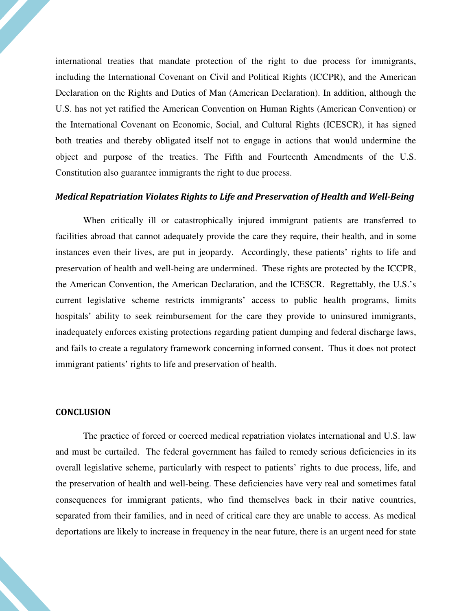international treaties that mandate protection of the right to due process for immigrants, including the International Covenant on Civil and Political Rights (ICCPR), and the American Declaration on the Rights and Duties of Man (American Declaration). In addition, although the U.S. has not yet ratified the American Convention on Human Rights (American Convention) or the International Covenant on Economic, Social, and Cultural Rights (ICESCR), it has signed both treaties and thereby obligated itself not to engage in actions that would undermine the object and purpose of the treaties. The Fifth and Fourteenth Amendments of the U.S. Constitution also guarantee immigrants the right to due process.

#### Medical Repatriation Violates Rights to Life and Preservation of Health and Well-Being

When critically ill or catastrophically injured immigrant patients are transferred to facilities abroad that cannot adequately provide the care they require, their health, and in some instances even their lives, are put in jeopardy. Accordingly, these patients' rights to life and preservation of health and well-being are undermined. These rights are protected by the ICCPR, the American Convention, the American Declaration, and the ICESCR. Regrettably, the U.S.'s current legislative scheme restricts immigrants' access to public health programs, limits hospitals' ability to seek reimbursement for the care they provide to uninsured immigrants, inadequately enforces existing protections regarding patient dumping and federal discharge laws, and fails to create a regulatory framework concerning informed consent. Thus it does not protect immigrant patients' rights to life and preservation of health.

#### **CONCLUSION**

The practice of forced or coerced medical repatriation violates international and U.S. law and must be curtailed. The federal government has failed to remedy serious deficiencies in its overall legislative scheme, particularly with respect to patients' rights to due process, life, and the preservation of health and well-being. These deficiencies have very real and sometimes fatal consequences for immigrant patients, who find themselves back in their native countries, separated from their families, and in need of critical care they are unable to access. As medical deportations are likely to increase in frequency in the near future, there is an urgent need for state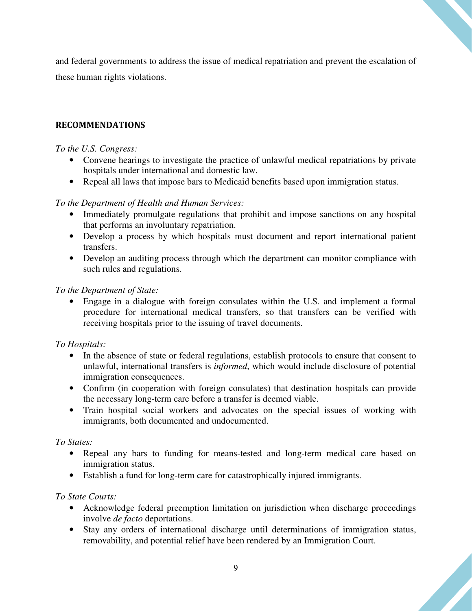and federal governments to address the issue of medical repatriation and prevent the escalation of these human rights violations.

#### RECOMMENDATIONS

#### *To the U.S. Congress:*

- Convene hearings to investigate the practice of unlawful medical repatriations by private hospitals under international and domestic law.
- Repeal all laws that impose bars to Medicaid benefits based upon immigration status.

#### *To the Department of Health and Human Services:*

- Immediately promulgate regulations that prohibit and impose sanctions on any hospital that performs an involuntary repatriation.
- Develop a process by which hospitals must document and report international patient transfers.
- Develop an auditing process through which the department can monitor compliance with such rules and regulations.

*To the Department of State:* 

• Engage in a dialogue with foreign consulates within the U.S. and implement a formal procedure for international medical transfers, so that transfers can be verified with receiving hospitals prior to the issuing of travel documents.

#### *To Hospitals:*

- In the absence of state or federal regulations, establish protocols to ensure that consent to unlawful, international transfers is *informed*, which would include disclosure of potential immigration consequences.
- Confirm (in cooperation with foreign consulates) that destination hospitals can provide the necessary long-term care before a transfer is deemed viable.
- Train hospital social workers and advocates on the special issues of working with immigrants, both documented and undocumented.

#### *To States:*

- Repeal any bars to funding for means-tested and long-term medical care based on immigration status.
- Establish a fund for long-term care for catastrophically injured immigrants.

#### *To State Courts:*

- Acknowledge federal preemption limitation on jurisdiction when discharge proceedings involve *de facto* deportations.
- Stay any orders of international discharge until determinations of immigration status, removability, and potential relief have been rendered by an Immigration Court.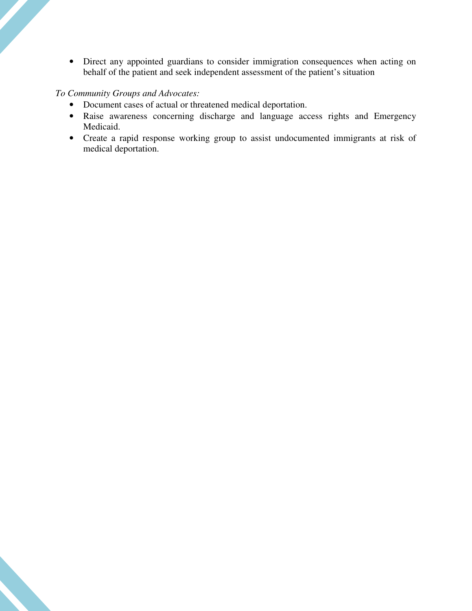• Direct any appointed guardians to consider immigration consequences when acting on behalf of the patient and seek independent assessment of the patient's situation

#### *To Community Groups and Advocates:*

- Document cases of actual or threatened medical deportation.
- Raise awareness concerning discharge and language access rights and Emergency Medicaid.
- Create a rapid response working group to assist undocumented immigrants at risk of medical deportation.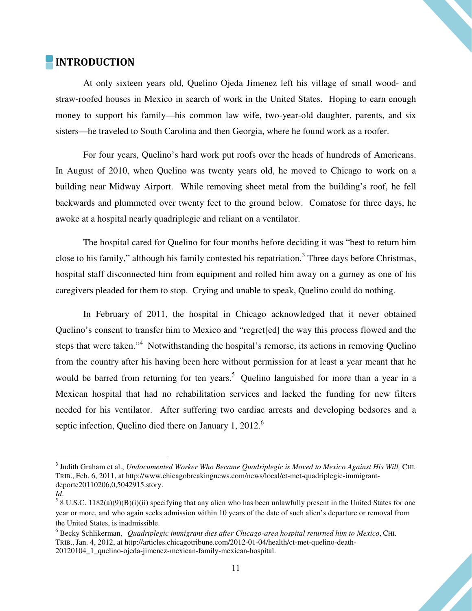## **INTRODUCTION**

 At only sixteen years old, Quelino Ojeda Jimenez left his village of small wood- and straw-roofed houses in Mexico in search of work in the United States. Hoping to earn enough money to support his family—his common law wife, two-year-old daughter, parents, and six sisters—he traveled to South Carolina and then Georgia, where he found work as a roofer.

 For four years, Quelino's hard work put roofs over the heads of hundreds of Americans. In August of 2010, when Quelino was twenty years old, he moved to Chicago to work on a building near Midway Airport. While removing sheet metal from the building's roof, he fell backwards and plummeted over twenty feet to the ground below. Comatose for three days, he awoke at a hospital nearly quadriplegic and reliant on a ventilator.

 The hospital cared for Quelino for four months before deciding it was "best to return him close to his family," although his family contested his repatriation.<sup>3</sup> Three days before Christmas, hospital staff disconnected him from equipment and rolled him away on a gurney as one of his caregivers pleaded for them to stop. Crying and unable to speak, Quelino could do nothing.

 In February of 2011, the hospital in Chicago acknowledged that it never obtained Quelino's consent to transfer him to Mexico and "regret[ed] the way this process flowed and the steps that were taken."<sup>4</sup> Notwithstanding the hospital's remorse, its actions in removing Quelino from the country after his having been here without permission for at least a year meant that he would be barred from returning for ten years.<sup>5</sup> Quelino languished for more than a year in a Mexican hospital that had no rehabilitation services and lacked the funding for new filters needed for his ventilator. After suffering two cardiac arrests and developing bedsores and a septic infection, Quelino died there on January 1, 2012.<sup>6</sup>

 $\overline{a}$ 

<sup>&</sup>lt;sup>3</sup> Judith Graham et al., *Undocumented Worker Who Became Quadriplegic is Moved to Mexico Against His Will, CHI.* TRIB., Feb. 6, 2011, at http://www.chicagobreakingnews.com/news/local/ct-met-quadriplegic-immigrantdeporte20110206,0,5042915.story.

*Id*.

 $58$  U.S.C. 1182(a)(9)(B)(i)(ii) specifying that any alien who has been unlawfully present in the United States for one year or more, and who again seeks admission within 10 years of the date of such alien's departure or removal from the United States, is inadmissible.

<sup>6</sup> Becky Schlikerman, *Quadriplegic immigrant dies after Chicago-area hospital returned him to Mexico*, CHI. TRIB., Jan. 4, 2012, at http://articles.chicagotribune.com/2012-01-04/health/ct-met-quelino-death-20120104\_1\_quelino-ojeda-jimenez-mexican-family-mexican-hospital.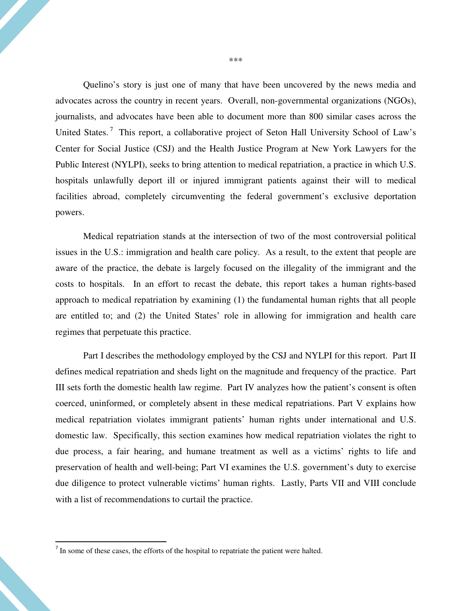Quelino's story is just one of many that have been uncovered by the news media and advocates across the country in recent years. Overall, non-governmental organizations (NGOs), journalists, and advocates have been able to document more than 800 similar cases across the United States.<sup>7</sup> This report, a collaborative project of Seton Hall University School of Law's Center for Social Justice (CSJ) and the Health Justice Program at New York Lawyers for the Public Interest (NYLPI), seeks to bring attention to medical repatriation, a practice in which U.S. hospitals unlawfully deport ill or injured immigrant patients against their will to medical facilities abroad, completely circumventing the federal government's exclusive deportation powers.

 Medical repatriation stands at the intersection of two of the most controversial political issues in the U.S.: immigration and health care policy. As a result, to the extent that people are aware of the practice, the debate is largely focused on the illegality of the immigrant and the costs to hospitals. In an effort to recast the debate, this report takes a human rights-based approach to medical repatriation by examining (1) the fundamental human rights that all people are entitled to; and (2) the United States' role in allowing for immigration and health care regimes that perpetuate this practice.

Part I describes the methodology employed by the CSJ and NYLPI for this report. Part II defines medical repatriation and sheds light on the magnitude and frequency of the practice. Part III sets forth the domestic health law regime. Part IV analyzes how the patient's consent is often coerced, uninformed, or completely absent in these medical repatriations. Part V explains how medical repatriation violates immigrant patients' human rights under international and U.S. domestic law. Specifically, this section examines how medical repatriation violates the right to due process, a fair hearing, and humane treatment as well as a victims' rights to life and preservation of health and well-being; Part VI examines the U.S. government's duty to exercise due diligence to protect vulnerable victims' human rights. Lastly, Parts VII and VIII conclude with a list of recommendations to curtail the practice.

In some of these cases, the efforts of the hospital to repatriate the patient were halted.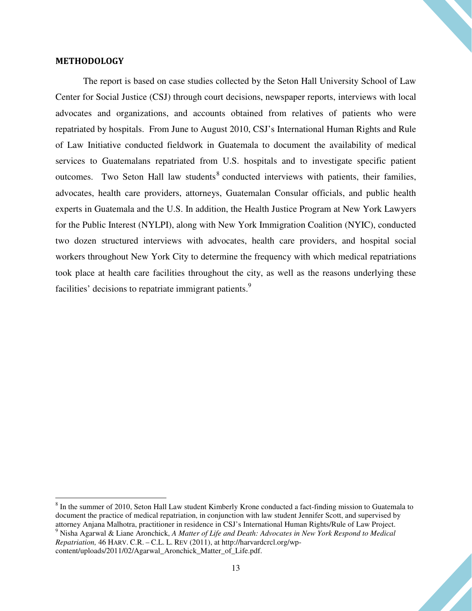#### METHODOLOGY

The report is based on case studies collected by the Seton Hall University School of Law Center for Social Justice (CSJ) through court decisions, newspaper reports, interviews with local advocates and organizations, and accounts obtained from relatives of patients who were repatriated by hospitals. From June to August 2010, CSJ's International Human Rights and Rule of Law Initiative conducted fieldwork in Guatemala to document the availability of medical services to Guatemalans repatriated from U.S. hospitals and to investigate specific patient outcomes. Two Seton Hall law students<sup>8</sup> conducted interviews with patients, their families, advocates, health care providers, attorneys, Guatemalan Consular officials, and public health experts in Guatemala and the U.S. In addition, the Health Justice Program at New York Lawyers for the Public Interest (NYLPI), along with New York Immigration Coalition (NYIC), conducted two dozen structured interviews with advocates, health care providers, and hospital social workers throughout New York City to determine the frequency with which medical repatriations took place at health care facilities throughout the city, as well as the reasons underlying these facilities' decisions to repatriate immigrant patients.<sup>9</sup>

content/uploads/2011/02/Agarwal\_Aronchick\_Matter\_of\_Life.pdf.

<sup>&</sup>lt;sup>8</sup> In the summer of 2010, Seton Hall Law student Kimberly Krone conducted a fact-finding mission to Guatemala to document the practice of medical repatriation, in conjunction with law student Jennifer Scott, and supervised by attorney Anjana Malhotra, practitioner in residence in CSJ's International Human Rights/Rule of Law Project. 9 Nisha Agarwal & Liane Aronchick, *A Matter of Life and Death: Advocates in New York Respond to Medical* 

*Repatriation,* 46 HARV. C.R. – C.L. L. REV (2011), at http://harvardcrcl.org/wp-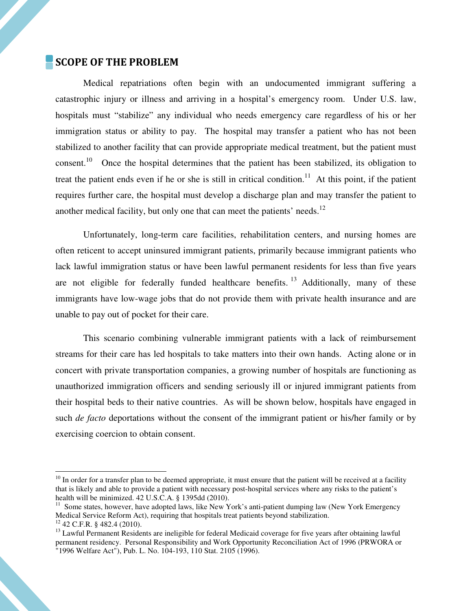#### SCOPE OF THE PROBLEM

l

Medical repatriations often begin with an undocumented immigrant suffering a catastrophic injury or illness and arriving in a hospital's emergency room. Under U.S. law, hospitals must "stabilize" any individual who needs emergency care regardless of his or her immigration status or ability to pay. The hospital may transfer a patient who has not been stabilized to another facility that can provide appropriate medical treatment, but the patient must consent.<sup>10</sup> Once the hospital determines that the patient has been stabilized, its obligation to treat the patient ends even if he or she is still in critical condition.<sup>11</sup> At this point, if the patient requires further care, the hospital must develop a discharge plan and may transfer the patient to another medical facility, but only one that can meet the patients' needs.<sup>12</sup>

 Unfortunately, long-term care facilities, rehabilitation centers, and nursing homes are often reticent to accept uninsured immigrant patients, primarily because immigrant patients who lack lawful immigration status or have been lawful permanent residents for less than five years are not eligible for federally funded healthcare benefits.<sup>13</sup> Additionally, many of these immigrants have low-wage jobs that do not provide them with private health insurance and are unable to pay out of pocket for their care.

 This scenario combining vulnerable immigrant patients with a lack of reimbursement streams for their care has led hospitals to take matters into their own hands. Acting alone or in concert with private transportation companies, a growing number of hospitals are functioning as unauthorized immigration officers and sending seriously ill or injured immigrant patients from their hospital beds to their native countries. As will be shown below, hospitals have engaged in such *de facto* deportations without the consent of the immigrant patient or his/her family or by exercising coercion to obtain consent.

 $10$  In order for a transfer plan to be deemed appropriate, it must ensure that the patient will be received at a facility that is likely and able to provide a patient with necessary post-hospital services where any risks to the patient's health will be minimized. 42 U.S.C.A. § 1395dd (2010).

 $11$  Some states, however, have adopted laws, like New York's anti-patient dumping law (New York Emergency Medical Service Reform Act), requiring that hospitals treat patients beyond stabilization.  $12$  42 C.F.R. § 482.4 (2010).

<sup>&</sup>lt;sup>13</sup> Lawful Permanent Residents are ineligible for federal Medicaid coverage for five years after obtaining lawful permanent residency. Personal Responsibility and Work Opportunity Reconciliation Act of 1996 (PRWORA or "1996 Welfare Act"), Pub. L. No. 104-193, 110 Stat. 2105 (1996).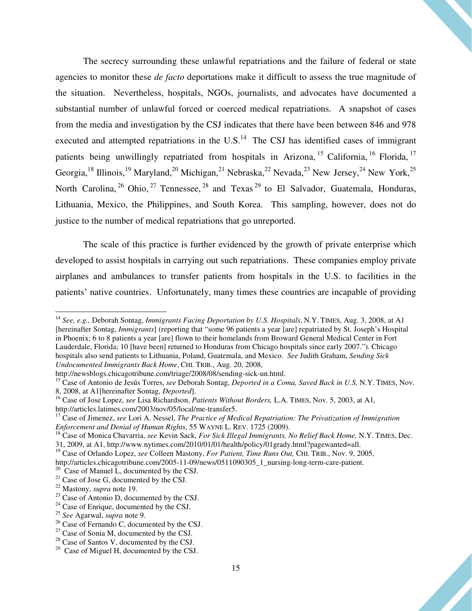The secrecy surrounding these unlawful repatriations and the failure of federal or state agencies to monitor these *de facto* deportations make it difficult to assess the true magnitude of the situation. Nevertheless, hospitals, NGOs, journalists, and advocates have documented a substantial number of unlawful forced or coerced medical repatriations. A snapshot of cases from the media and investigation by the CSJ indicates that there have been between 846 and 978 executed and attempted repatriations in the  $U.S.<sup>14</sup>$  The CSJ has identified cases of immigrant patients being unwillingly repatriated from hospitals in Arizona, <sup>15</sup> California, <sup>16</sup> Florida, <sup>17</sup> Georgia,<sup>18</sup> Illinois,<sup>19</sup> Maryland,<sup>20</sup> Michigan,<sup>21</sup> Nebraska,<sup>22</sup> Nevada,<sup>23</sup> New Jersey,<sup>24</sup> New York,<sup>25</sup> North Carolina,  $^{26}$  Ohio,  $^{27}$  Tennessee,  $^{28}$  and Texas  $^{29}$  to El Salvador, Guatemala, Honduras, Lithuania, Mexico, the Philippines, and South Korea. This sampling, however, does not do justice to the number of medical repatriations that go unreported.

The scale of this practice is further evidenced by the growth of private enterprise which developed to assist hospitals in carrying out such repatriations. These companies employ private airplanes and ambulances to transfer patients from hospitals in the U.S. to facilities in the patients' native countries. Unfortunately, many times these countries are incapable of providing

<sup>&</sup>lt;sup>14</sup> See, e.g., Deborah Sontag, *Immigrants Facing Deportation by U.S. Hospitals*, N.Y. TIMES, Aug. 3, 2008, at A1 [hereinafter Sontag, *Immigrants*] (reporting that "some 96 patients a year [are] repatriated by St. Joseph's Hospital in Phoenix; 6 to 8 patients a year [are] flown to their homelands from Broward General Medical Center in Fort Lauderdale, Florida; 10 [have been] returned to Honduras from Chicago hospitals since early 2007."). Chicago hospitals also send patients to Lithuania, Poland, Guatemala, and Mexico. *See* Judith Graham, *Sending Sick Undocumented Immigrants Back Home*, CHI. TRIB., Aug. 20, 2008,

http://newsblogs.chicagotribune.com/triage/2008/08/sending-sick-un.html.

<sup>15</sup> Case of Antonio de Jesús Torres, *see* Deborah Sontag, *Deported in a Coma, Saved Back in U.S,* N.Y. TIMES, Nov. 8, 2008, at A1[hereinafter Sontag, *Deported*].

<sup>16</sup> Case of Jose Lopez, *see* Lisa Richardson, *Patients Without Borders,* L.A. TIMES, Nov. 5, 2003, at A1*,*  http://articles.latimes.com/2003/nov/05/local/me-transfer5.

<sup>17</sup> Case of Jimenez, *see* Lori A. Nessel, *The Practice of Medical Repatriation: The Privatization of Immigration Enforcement and Denial of Human Rights*, 55 WAYNE L. REV. 1725 (2009).

<sup>18</sup> Case of Monica Chavarria, *see* Kevin Sack, *For Sick Illegal Immigrants, No Relief Back Home,* N.Y. TIMES, Dec. 31, 2009, at A1, http://www.nytimes.com/2010/01/01/health/policy/01grady.html?pagewanted=all.

<sup>19</sup> Case of Orlando Lopez, *see* Colleen Mastony, *For Patient, Time Runs Out,* CHI. TRIB., Nov. 9, 2005,

http://articles.chicagotribune.com/2005-11-09/news/0511090305\_1\_nursing-long-term-care-patient.

 $20$  Case of Manuel L, documented by the CSJ.

<sup>&</sup>lt;sup>21</sup> Case of Jose G, documented by the CSJ.

<sup>22</sup> Mastony, *supra* note 19.

 $23$  Case of Antonio D, documented by the CSJ.

 $24$  Case of Enrique, documented by the CSJ.

<sup>25</sup> *See* Agarwal, *supra* note 9.

<sup>&</sup>lt;sup>26</sup> Case of Fernando C, documented by the CSJ.

 $27$  Case of Sonia M, documented by the CSJ.

 $28$  Case of Santos V, documented by the CSJ.

 $29$  Case of Miguel H, documented by the CSJ.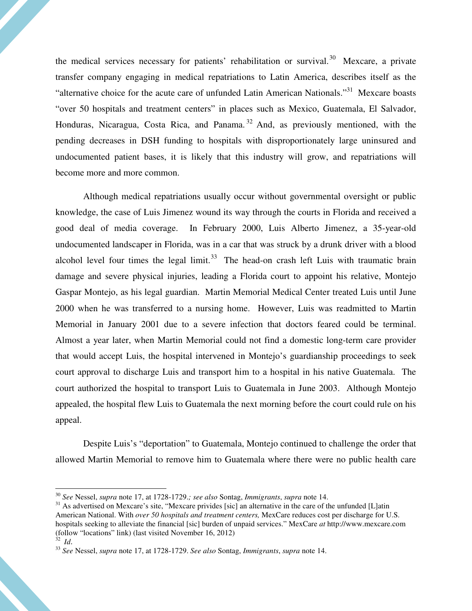the medical services necessary for patients' rehabilitation or survival.<sup>30</sup> Mexcare, a private transfer company engaging in medical repatriations to Latin America, describes itself as the "alternative choice for the acute care of unfunded Latin American Nationals."<sup>31</sup> Mexcare boasts "over 50 hospitals and treatment centers" in places such as Mexico, Guatemala, El Salvador, Honduras, Nicaragua, Costa Rica, and Panama. <sup>32</sup> And, as previously mentioned, with the pending decreases in DSH funding to hospitals with disproportionately large uninsured and undocumented patient bases, it is likely that this industry will grow, and repatriations will become more and more common.

 Although medical repatriations usually occur without governmental oversight or public knowledge, the case of Luis Jimenez wound its way through the courts in Florida and received a good deal of media coverage. In February 2000, Luis Alberto Jimenez, a 35-year-old undocumented landscaper in Florida, was in a car that was struck by a drunk driver with a blood alcohol level four times the legal limit.<sup>33</sup> The head-on crash left Luis with traumatic brain damage and severe physical injuries, leading a Florida court to appoint his relative, Montejo Gaspar Montejo, as his legal guardian. Martin Memorial Medical Center treated Luis until June 2000 when he was transferred to a nursing home. However, Luis was readmitted to Martin Memorial in January 2001 due to a severe infection that doctors feared could be terminal. Almost a year later, when Martin Memorial could not find a domestic long-term care provider that would accept Luis, the hospital intervened in Montejo's guardianship proceedings to seek court approval to discharge Luis and transport him to a hospital in his native Guatemala. The court authorized the hospital to transport Luis to Guatemala in June 2003. Although Montejo appealed, the hospital flew Luis to Guatemala the next morning before the court could rule on his appeal.

 Despite Luis's "deportation" to Guatemala, Montejo continued to challenge the order that allowed Martin Memorial to remove him to Guatemala where there were no public health care

<sup>30</sup> *See* Nessel, *supra* note 17, at 1728-1729.*; see also* Sontag, *Immigrants*, *supra* note 14.

<sup>&</sup>lt;sup>31</sup> As advertised on Mexcare's site, "Mexcare privides [sic] an alternative in the care of the unfunded [L]atin American National. With *over 50 hospitals and treatment centers,* MexCare reduces cost per discharge for U.S. hospitals seeking to alleviate the financial [sic] burden of unpaid services." MexCare *at* http://www.mexcare.com (follow "locations" link) (last visited November 16, 2012)

 $32$  *Id.* 

<sup>33</sup> *See* Nessel, *supra* note 17, at 1728-1729. *See also* Sontag, *Immigrants*, *supra* note 14.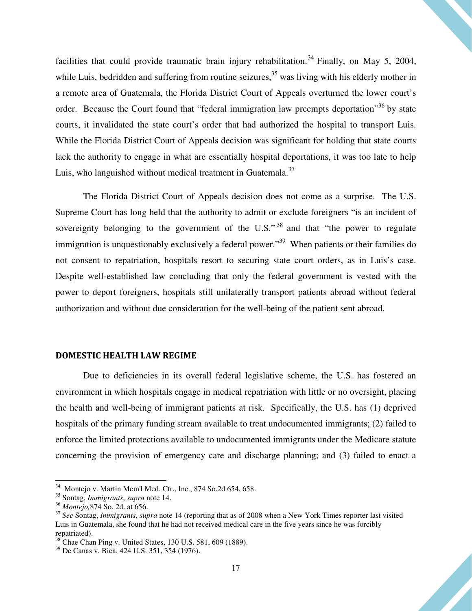facilities that could provide traumatic brain injury rehabilitation.<sup>34</sup> Finally, on May 5, 2004, while Luis, bedridden and suffering from routine seizures, $35$  was living with his elderly mother in a remote area of Guatemala, the Florida District Court of Appeals overturned the lower court's order. Because the Court found that "federal immigration law preempts deportation"<sup>36</sup> by state courts, it invalidated the state court's order that had authorized the hospital to transport Luis. While the Florida District Court of Appeals decision was significant for holding that state courts lack the authority to engage in what are essentially hospital deportations, it was too late to help Luis, who languished without medical treatment in Guatemala.<sup>37</sup>

 The Florida District Court of Appeals decision does not come as a surprise. The U.S. Supreme Court has long held that the authority to admit or exclude foreigners "is an incident of sovereignty belonging to the government of the U.S."<sup>38</sup> and that "the power to regulate immigration is unquestionably exclusively a federal power."<sup>39</sup> When patients or their families do not consent to repatriation, hospitals resort to securing state court orders, as in Luis's case. Despite well-established law concluding that only the federal government is vested with the power to deport foreigners, hospitals still unilaterally transport patients abroad without federal authorization and without due consideration for the well-being of the patient sent abroad.

#### DOMESTIC HEALTH LAW REGIME

Due to deficiencies in its overall federal legislative scheme, the U.S. has fostered an environment in which hospitals engage in medical repatriation with little or no oversight, placing the health and well-being of immigrant patients at risk. Specifically, the U.S. has (1) deprived hospitals of the primary funding stream available to treat undocumented immigrants; (2) failed to enforce the limited protections available to undocumented immigrants under the Medicare statute concerning the provision of emergency care and discharge planning; and (3) failed to enact a

 $34$  Montejo v. Martin Mem'l Med. Ctr., Inc., 874 So.2d 654, 658.

<sup>35</sup> Sontag, *Immigrants*, *supra* note 14.

<sup>36</sup> *Montejo,*874 So. 2d. at 656.

<sup>37</sup> *See* Sontag, *Immigrants*, *supra* note 14 (reporting that as of 2008 when a New York Times reporter last visited Luis in Guatemala, she found that he had not received medical care in the five years since he was forcibly repatriated).

 $38$  Chae Chan Ping v. United States, 130 U.S. 581, 609 (1889).

<sup>39</sup> De Canas v. Bica, 424 U.S. 351, 354 (1976).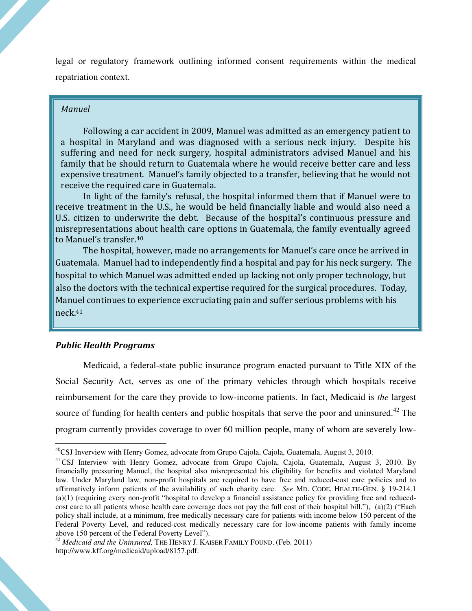legal or regulatory framework outlining informed consent requirements within the medical repatriation context.

#### Manuel

 Following a car accident in 2009, Manuel was admitted as an emergency patient to a hospital in Maryland and was diagnosed with a serious neck injury. Despite his suffering and need for neck surgery, hospital administrators advised Manuel and his family that he should return to Guatemala where he would receive better care and less expensive treatment. Manuel's family objected to a transfer, believing that he would not receive the required care in Guatemala.

 In light of the family's refusal, the hospital informed them that if Manuel were to receive treatment in the U.S., he would be held financially liable and would also need a U.S. citizen to underwrite the debt. Because of the hospital's continuous pressure and misrepresentations about health care options in Guatemala, the family eventually agreed to Manuel's transfer.<sup>40</sup>

 The hospital, however, made no arrangements for Manuel's care once he arrived in Guatemala. Manuel had to independently find a hospital and pay for his neck surgery. The hospital to which Manuel was admitted ended up lacking not only proper technology, but also the doctors with the technical expertise required for the surgical procedures. Today, Manuel continues to experience excruciating pain and suffer serious problems with his neck.<sup>41</sup>

#### Public Health Programs

 $\overline{a}$ 

Medicaid, a federal-state public insurance program enacted pursuant to Title XIX of the Social Security Act, serves as one of the primary vehicles through which hospitals receive reimbursement for the care they provide to low-income patients. In fact, Medicaid is *the* largest source of funding for health centers and public hospitals that serve the poor and uninsured.<sup>42</sup> The program currently provides coverage to over 60 million people, many of whom are severely low-

<sup>&</sup>lt;sup>40</sup>CSJ Inverview with Henry Gomez, advocate from Grupo Cajola, Cajola, Guatemala, August 3, 2010.

<sup>&</sup>lt;sup>41</sup>CSJ Interview with Henry Gomez, advocate from Grupo Cajola, Cajola, Guatemala, August 3, 2010. By financially pressuring Manuel, the hospital also misrepresented his eligibility for benefits and violated Maryland law. Under Maryland law, non-profit hospitals are required to have free and reduced-cost care policies and to affirmatively inform patients of the availability of such charity care. *See* MD. CODE, HEALTH-GEN. § 19-214.1 (a)(1) (requiring every non-profit "hospital to develop a financial assistance policy for providing free and reducedcost care to all patients whose health care coverage does not pay the full cost of their hospital bill."), (a)(2) ("Each policy shall include, at a minimum, free medically necessary care for patients with income below 150 percent of the Federal Poverty Level, and reduced-cost medically necessary care for low-income patients with family income above 150 percent of the Federal Poverty Level").

<sup>&</sup>lt;sup>42</sup> Medicaid and the Uninsured, THE HENRY J. KAISER FAMILY FOUND. (Feb. 2011) http://www.kff.org/medicaid/upload/8157.pdf.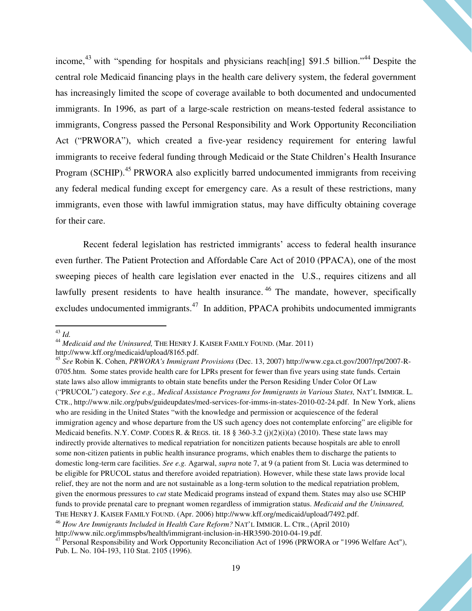income,<sup>43</sup> with "spending for hospitals and physicians reach [ing]  $$91.5$  billion."<sup>44</sup> Despite the central role Medicaid financing plays in the health care delivery system, the federal government has increasingly limited the scope of coverage available to both documented and undocumented immigrants. In 1996, as part of a large-scale restriction on means-tested federal assistance to immigrants, Congress passed the Personal Responsibility and Work Opportunity Reconciliation Act ("PRWORA"), which created a five-year residency requirement for entering lawful immigrants to receive federal funding through Medicaid or the State Children's Health Insurance Program (SCHIP).<sup>45</sup> PRWORA also explicitly barred undocumented immigrants from receiving any federal medical funding except for emergency care. As a result of these restrictions, many immigrants, even those with lawful immigration status, may have difficulty obtaining coverage for their care.

Recent federal legislation has restricted immigrants' access to federal health insurance even further. The Patient Protection and Affordable Care Act of 2010 (PPACA), one of the most sweeping pieces of health care legislation ever enacted in the U.S., requires citizens and all lawfully present residents to have health insurance.<sup>46</sup> The mandate, however, specifically excludes undocumented immigrants.<sup>47</sup> In addition, PPACA prohibits undocumented immigrants

<sup>43</sup> *Id.*

<sup>44</sup> *Medicaid and the Uninsured,* THE HENRY J. KAISER FAMILY FOUND. (Mar. 2011) http://www.kff.org/medicaid/upload/8165.pdf.

<sup>45</sup> *See* Robin K. Cohen, *PRWORA's Immigrant Provisions* (Dec. 13, 2007) http://www.cga.ct.gov/2007/rpt/2007-R-0705.htm. Some states provide health care for LPRs present for fewer than five years using state funds. Certain state laws also allow immigrants to obtain state benefits under the Person Residing Under Color Of Law ("PRUCOL") category. *See e.g., Medical Assistance Programs for Immigrants in Various States,* NAT'L IMMIGR. L. CTR., http://www.nilc.org/pubs/guideupdates/med-services-for-imms-in-states-2010-02-24.pdf. In New York, aliens who are residing in the United States "with the knowledge and permission or acquiescence of the federal immigration agency and whose departure from the US such agency does not contemplate enforcing" are eligible for Medicaid benefits. N.Y. COMP. CODES R. & REGS. tit. 18 § 360-3.2 (j)(2)(i)(a) (2010). These state laws may indirectly provide alternatives to medical repatriation for noncitizen patients because hospitals are able to enroll some non-citizen patients in public health insurance programs, which enables them to discharge the patients to domestic long-term care facilities. *See e.g.* Agarwal, *supra* note 7, at 9 (a patient from St. Lucia was determined to be eligible for PRUCOL status and therefore avoided repatriation). However, while these state laws provide local relief, they are not the norm and are not sustainable as a long-term solution to the medical repatriation problem, given the enormous pressures to *cut* state Medicaid programs instead of expand them. States may also use SCHIP funds to provide prenatal care to pregnant women regardless of immigration status. *Medicaid and the Uninsured,*  THE HENRY J. KAISER FAMILY FOUND. (Apr. 2006) http://www.kff.org/medicaid/upload/7492.pdf.

<sup>46</sup> *How Are Immigrants Included in Health Care Reform?* NAT'L IMMIGR. L. CTR., (April 2010)

http://www.nilc.org/immspbs/health/immigrant-inclusion-in-HR3590-2010-04-19.pdf.

<sup>&</sup>lt;sup>47</sup> Personal Responsibility and Work Opportunity Reconciliation Act of 1996 (PRWORA or "1996 Welfare Act"), Pub. L. No. 104-193, 110 Stat. 2105 (1996).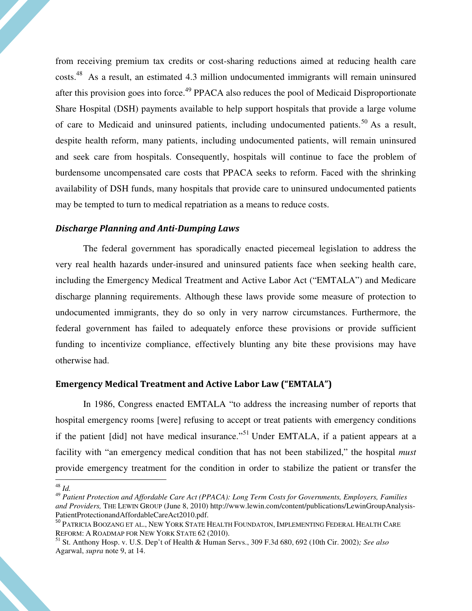from receiving premium tax credits or cost-sharing reductions aimed at reducing health care costs.<sup>48</sup> As a result, an estimated 4.3 million undocumented immigrants will remain uninsured after this provision goes into force.<sup>49</sup> PPACA also reduces the pool of Medicaid Disproportionate Share Hospital (DSH) payments available to help support hospitals that provide a large volume of care to Medicaid and uninsured patients, including undocumented patients.<sup>50</sup> As a result, despite health reform, many patients, including undocumented patients, will remain uninsured and seek care from hospitals. Consequently, hospitals will continue to face the problem of burdensome uncompensated care costs that PPACA seeks to reform. Faced with the shrinking availability of DSH funds, many hospitals that provide care to uninsured undocumented patients may be tempted to turn to medical repatriation as a means to reduce costs.

#### Discharge Planning and Anti-Dumping Laws

The federal government has sporadically enacted piecemeal legislation to address the very real health hazards under-insured and uninsured patients face when seeking health care, including the Emergency Medical Treatment and Active Labor Act ("EMTALA") and Medicare discharge planning requirements. Although these laws provide some measure of protection to undocumented immigrants, they do so only in very narrow circumstances. Furthermore, the federal government has failed to adequately enforce these provisions or provide sufficient funding to incentivize compliance, effectively blunting any bite these provisions may have otherwise had.

#### Emergency Medical Treatment and Active Labor Law ("EMTALA")

In 1986, Congress enacted EMTALA "to address the increasing number of reports that hospital emergency rooms [were] refusing to accept or treat patients with emergency conditions if the patient [did] not have medical insurance."<sup>51</sup> Under EMTALA, if a patient appears at a facility with "an emergency medical condition that has not been stabilized," the hospital *must* provide emergency treatment for the condition in order to stabilize the patient or transfer the

<sup>48</sup> *Id.*

<sup>49</sup> *Patient Protection and Affordable Care Act (PPACA): Long Term Costs for Governments, Employers, Families and Providers,* THE LEWIN GROUP (June 8, 2010) http://www.lewin.com/content/publications/LewinGroupAnalysis-PatientProtectionandAffordableCareAct2010.pdf.

<sup>50</sup> PATRICIA BOOZANG ET AL., NEW YORK STATE HEALTH FOUNDATON, IMPLEMENTING FEDERAL HEALTH CARE REFORM: A ROADMAP FOR NEW YORK STATE 62 (2010).

<sup>51</sup> St. Anthony Hosp. v. U.S. Dep't of Health & Human Servs., 309 F.3d 680, 692 (10th Cir. 2002)*; See also*  Agarwal, *supra* note 9, at 14.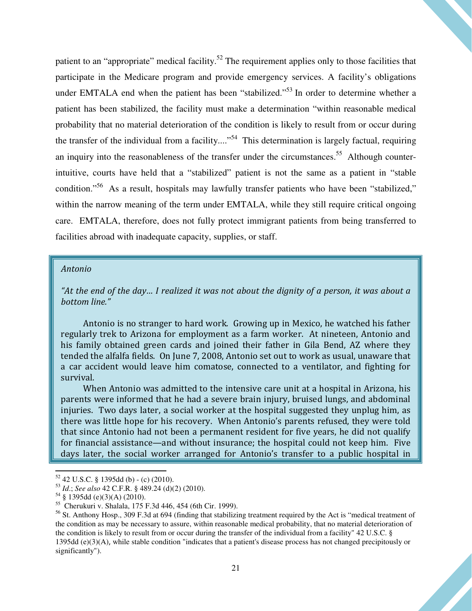patient to an "appropriate" medical facility.<sup>52</sup> The requirement applies only to those facilities that participate in the Medicare program and provide emergency services. A facility's obligations under EMTALA end when the patient has been "stabilized."<sup>53</sup> In order to determine whether a patient has been stabilized, the facility must make a determination "within reasonable medical probability that no material deterioration of the condition is likely to result from or occur during the transfer of the individual from a facility....<sup> $54$ </sup> This determination is largely factual, requiring an inquiry into the reasonableness of the transfer under the circumstances.<sup>55</sup> Although counterintuitive, courts have held that a "stabilized" patient is not the same as a patient in "stable condition."<sup>56</sup> As a result, hospitals may lawfully transfer patients who have been "stabilized," within the narrow meaning of the term under EMTALA, while they still require critical ongoing care. EMTALA, therefore, does not fully protect immigrant patients from being transferred to facilities abroad with inadequate capacity, supplies, or staff.

#### Antonio

"At the end of the day… I realized it was not about the dignity of a person, it was about a bottom line."

Antonio is no stranger to hard work. Growing up in Mexico, he watched his father regularly trek to Arizona for employment as a farm worker. At nineteen, Antonio and his family obtained green cards and joined their father in Gila Bend, AZ where they tended the alfalfa fields. On June 7, 2008, Antonio set out to work as usual, unaware that a car accident would leave him comatose, connected to a ventilator, and fighting for survival.

 When Antonio was admitted to the intensive care unit at a hospital in Arizona, his parents were informed that he had a severe brain injury, bruised lungs, and abdominal injuries. Two days later, a social worker at the hospital suggested they unplug him, as there was little hope for his recovery. When Antonio's parents refused, they were told that since Antonio had not been a permanent resident for five years, he did not qualify for financial assistance—and without insurance; the hospital could not keep him. Five days later, the social worker arranged for Antonio's transfer to a public hospital in

 $52$  42 U.S.C. § 1395dd (b) - (c) (2010).

<sup>53</sup> *Id*.; *See also* 42 C.F.R. § 489.24 (d)(2) (2010).

<sup>54</sup> § 1395dd (e)(3)(A) (2010).

<sup>55</sup> Cherukuri v. Shalala, 175 F.3d 446, 454 (6th Cir. 1999).

<sup>&</sup>lt;sup>56</sup> St. Anthony Hosp., 309 F.3d at 694 (finding that stabilizing treatment required by the Act is "medical treatment of the condition as may be necessary to assure, within reasonable medical probability, that no material deterioration of the condition is likely to result from or occur during the transfer of the individual from a facility" 42 U.S.C. § 1395dd (e)(3)(A), while stable condition "indicates that a patient's disease process has not changed precipitously or significantly").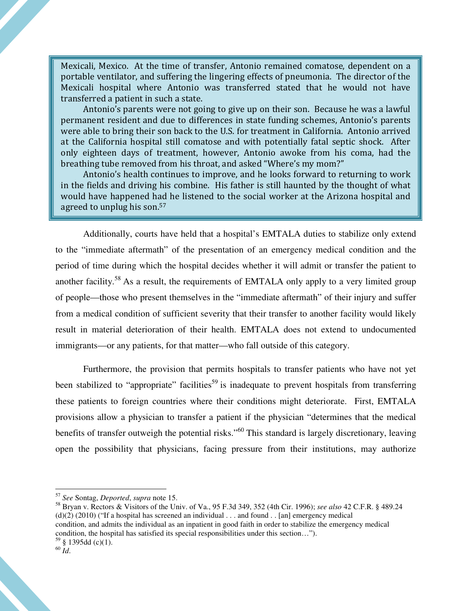Mexicali, Mexico. At the time of transfer, Antonio remained comatose, dependent on a portable ventilator, and suffering the lingering effects of pneumonia. The director of the Mexicali hospital where Antonio was transferred stated that he would not have transferred a patient in such a state.

 Antonio's parents were not going to give up on their son. Because he was a lawful permanent resident and due to differences in state funding schemes, Antonio's parents were able to bring their son back to the U.S. for treatment in California. Antonio arrived at the California hospital still comatose and with potentially fatal septic shock. After only eighteen days of treatment, however, Antonio awoke from his coma, had the breathing tube removed from his throat, and asked "Where's my mom?"

 Antonio's health continues to improve, and he looks forward to returning to work in the fields and driving his combine. His father is still haunted by the thought of what would have happened had he listened to the social worker at the Arizona hospital and agreed to unplug his son.<sup>57</sup>

Additionally, courts have held that a hospital's EMTALA duties to stabilize only extend to the "immediate aftermath" of the presentation of an emergency medical condition and the period of time during which the hospital decides whether it will admit or transfer the patient to another facility.<sup>58</sup> As a result, the requirements of EMTALA only apply to a very limited group of people—those who present themselves in the "immediate aftermath" of their injury and suffer from a medical condition of sufficient severity that their transfer to another facility would likely result in material deterioration of their health. EMTALA does not extend to undocumented immigrants—or any patients, for that matter—who fall outside of this category.

Furthermore, the provision that permits hospitals to transfer patients who have not yet been stabilized to "appropriate" facilities<sup>59</sup> is inadequate to prevent hospitals from transferring these patients to foreign countries where their conditions might deteriorate. First, EMTALA provisions allow a physician to transfer a patient if the physician "determines that the medical benefits of transfer outweigh the potential risks."<sup>60</sup> This standard is largely discretionary, leaving open the possibility that physicians, facing pressure from their institutions, may authorize

<sup>58</sup> Bryan v. Rectors & Visitors of the Univ. of Va., 95 F.3d 349, 352 (4th Cir. 1996); *see also* 42 C.F.R. § 489.24 (d)(2) (2010) ("If a hospital has screened an individual  $\dots$  and found  $\dots$  [an] emergency medical condition, and admits the individual as an inpatient in good faith in order to stabilize the emergency medical condition, the hospital has satisfied its special responsibilities under this section…").  $59\$  § 1395dd (c)(1).

<sup>57</sup> *See* Sontag, *Deported*, *supra* note 15.

<sup>60</sup> *Id*.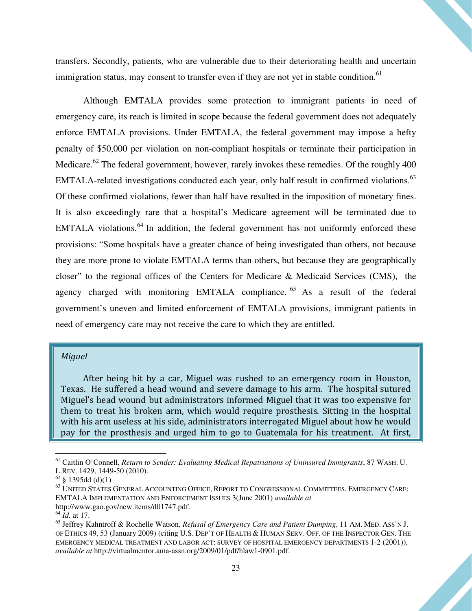transfers. Secondly, patients, who are vulnerable due to their deteriorating health and uncertain immigration status, may consent to transfer even if they are not yet in stable condition.<sup>61</sup>

Although EMTALA provides some protection to immigrant patients in need of emergency care, its reach is limited in scope because the federal government does not adequately enforce EMTALA provisions. Under EMTALA, the federal government may impose a hefty penalty of \$50,000 per violation on non-compliant hospitals or terminate their participation in Medicare.<sup>62</sup> The federal government, however, rarely invokes these remedies. Of the roughly 400 EMTALA-related investigations conducted each year, only half result in confirmed violations.<sup>63</sup> Of these confirmed violations, fewer than half have resulted in the imposition of monetary fines. It is also exceedingly rare that a hospital's Medicare agreement will be terminated due to EMTALA violations.<sup>64</sup> In addition, the federal government has not uniformly enforced these provisions: "Some hospitals have a greater chance of being investigated than others, not because they are more prone to violate EMTALA terms than others, but because they are geographically closer" to the regional offices of the Centers for Medicare & Medicaid Services (CMS), the agency charged with monitoring EMTALA compliance. <sup>65</sup> As a result of the federal government's uneven and limited enforcement of EMTALA provisions, immigrant patients in need of emergency care may not receive the care to which they are entitled.

#### Miguel

After being hit by a car, Miguel was rushed to an emergency room in Houston, Texas. He suffered a head wound and severe damage to his arm. The hospital sutured Miguel's head wound but administrators informed Miguel that it was too expensive for them to treat his broken arm, which would require prosthesis. Sitting in the hospital with his arm useless at his side, administrators interrogated Miguel about how he would pay for the prosthesis and urged him to go to Guatemala for his treatment. At first,

 $\overline{a}$ 

<sup>61</sup> Caitlin O'Connell, *Return to Sender: Evaluating Medical Repatriations of Uninsured Immigrants*, 87 WASH. U. L.REV. 1429, 1449-50 (2010).

 $62 \text{ }$ § 1395dd (d)(1)

 $^{63}$ UNITED STATES GENERAL ACCOUNTING OFFICE, REPORT TO CONGRESSIONAL COMMITTEES, EMERGENCY CARE: EMTALA IMPLEMENTATION AND ENFORCEMENT ISSUES 3(June 2001) *available at*  http://www.gao.gov/new.items/d01747.pdf.

<sup>64</sup> *Id.* at 17.

<sup>65</sup> Jeffrey Kahntroff & Rochelle Watson, *Refusal of Emergency Care and Patient Dumping*, 11 AM. MED. ASS'N J. OF ETHICS 49, 53 (January 2009) (citing U.S. DEP'T OF HEALTH & HUMAN SERV. OFF. OF THE INSPECTOR GEN. THE EMERGENCY MEDICAL TREATMENT AND LABOR ACT: SURVEY OF HOSPITAL EMERGENCY DEPARTMENTS 1-2 (2001)), *available at* http://virtualmentor.ama-assn.org/2009/01/pdf/hlaw1-0901.pdf.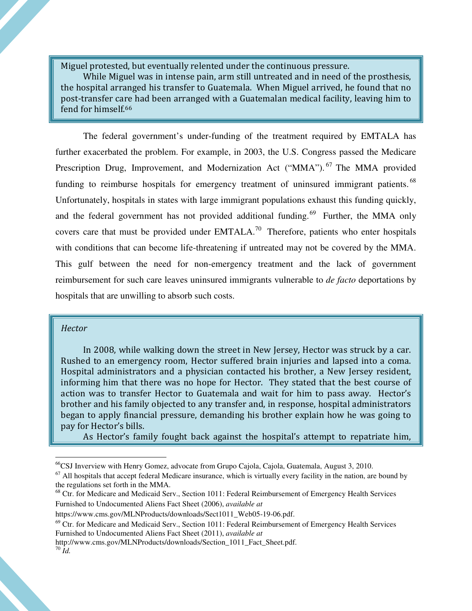Miguel protested, but eventually relented under the continuous pressure.

 While Miguel was in intense pain, arm still untreated and in need of the prosthesis, the hospital arranged his transfer to Guatemala. When Miguel arrived, he found that no post-transfer care had been arranged with a Guatemalan medical facility, leaving him to fend for himself.<sup>66</sup>

The federal government's under-funding of the treatment required by EMTALA has further exacerbated the problem. For example, in 2003, the U.S. Congress passed the Medicare Prescription Drug, Improvement, and Modernization Act ("MMA").<sup>67</sup> The MMA provided funding to reimburse hospitals for emergency treatment of uninsured immigrant patients.<sup>68</sup> Unfortunately, hospitals in states with large immigrant populations exhaust this funding quickly, and the federal government has not provided additional funding.<sup>69</sup> Further, the MMA only covers care that must be provided under  $EMTALA$ .<sup>70</sup> Therefore, patients who enter hospitals with conditions that can become life-threatening if untreated may not be covered by the MMA. This gulf between the need for non-emergency treatment and the lack of government reimbursement for such care leaves uninsured immigrants vulnerable to *de facto* deportations by hospitals that are unwilling to absorb such costs.

#### **Hector**

 In 2008, while walking down the street in New Jersey, Hector was struck by a car. Rushed to an emergency room, Hector suffered brain injuries and lapsed into a coma. Hospital administrators and a physician contacted his brother, a New Jersey resident, informing him that there was no hope for Hector. They stated that the best course of action was to transfer Hector to Guatemala and wait for him to pass away. Hector's brother and his family objected to any transfer and, in response, hospital administrators began to apply financial pressure, demanding his brother explain how he was going to pay for Hector's bills.

As Hector's family fought back against the hospital's attempt to repatriate him,

<sup>68</sup> Ctr. for Medicare and Medicaid Serv., Section 1011: Federal Reimbursement of Emergency Health Services Furnished to Undocumented Aliens Fact Sheet (2006), *available at* 

<sup>&</sup>lt;sup>66</sup>CSJ Inverview with Henry Gomez, advocate from Grupo Cajola, Cajola, Guatemala, August 3, 2010.

 $67$  All hospitals that accept federal Medicare insurance, which is virtually every facility in the nation, are bound by the regulations set forth in the MMA.

https://www.cms.gov/MLNProducts/downloads/Sect1011\_Web05-19-06.pdf.

 $69$  Ctr. for Medicare and Medicaid Serv., Section 1011: Federal Reimbursement of Emergency Health Services Furnished to Undocumented Aliens Fact Sheet (2011), *available at*

http://www.cms.gov/MLNProducts/downloads/Section 1011 Fact Sheet.pdf.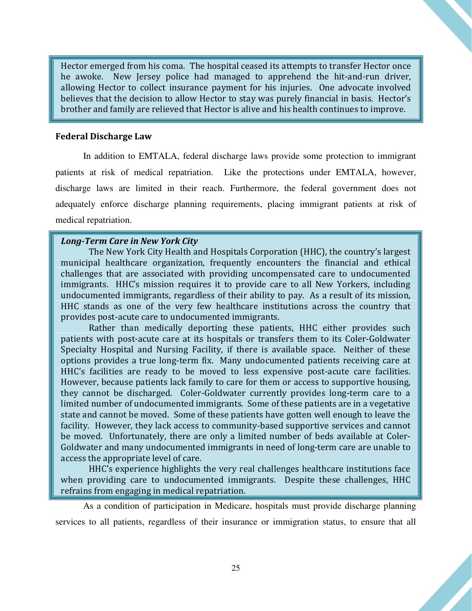Hector emerged from his coma. The hospital ceased its attempts to transfer Hector once he awoke. New Jersey police had managed to apprehend the hit-and-run driver, allowing Hector to collect insurance payment for his injuries. One advocate involved believes that the decision to allow Hector to stay was purely financial in basis. Hector's brother and family are relieved that Hector is alive and his health continues to improve.

#### Federal Discharge Law

In addition to EMTALA, federal discharge laws provide some protection to immigrant patients at risk of medical repatriation. Like the protections under EMTALA, however, discharge laws are limited in their reach. Furthermore, the federal government does not adequately enforce discharge planning requirements, placing immigrant patients at risk of medical repatriation.

#### Long-Term Care in New York City

The New York City Health and Hospitals Corporation (HHC), the country's largest municipal healthcare organization, frequently encounters the financial and ethical challenges that are associated with providing uncompensated care to undocumented immigrants. HHC's mission requires it to provide care to all New Yorkers, including undocumented immigrants, regardless of their ability to pay. As a result of its mission, HHC stands as one of the very few healthcare institutions across the country that provides post-acute care to undocumented immigrants.

Rather than medically deporting these patients, HHC either provides such patients with post-acute care at its hospitals or transfers them to its Coler-Goldwater Specialty Hospital and Nursing Facility, if there is available space. Neither of these options provides a true long-term fix. Many undocumented patients receiving care at HHC's facilities are ready to be moved to less expensive post-acute care facilities. However, because patients lack family to care for them or access to supportive housing, they cannot be discharged. Coler-Goldwater currently provides long-term care to a limited number of undocumented immigrants. Some of these patients are in a vegetative state and cannot be moved. Some of these patients have gotten well enough to leave the facility. However, they lack access to community-based supportive services and cannot be moved. Unfortunately, there are only a limited number of beds available at Coler-Goldwater and many undocumented immigrants in need of long-term care are unable to access the appropriate level of care.

HHC's experience highlights the very real challenges healthcare institutions face when providing care to undocumented immigrants. Despite these challenges, HHC refrains from engaging in medical repatriation.

As a condition of participation in Medicare, hospitals must provide discharge planning services to all patients, regardless of their insurance or immigration status, to ensure that all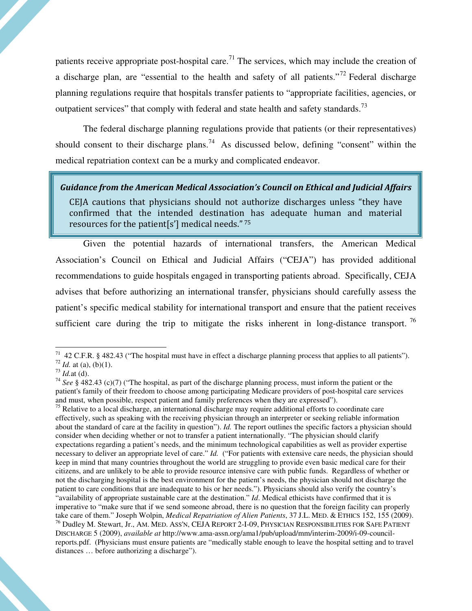patients receive appropriate post-hospital care.<sup>71</sup> The services, which may include the creation of a discharge plan, are "essential to the health and safety of all patients."<sup>72</sup> Federal discharge planning regulations require that hospitals transfer patients to "appropriate facilities, agencies, or outpatient services" that comply with federal and state health and safety standards.<sup>73</sup>

The federal discharge planning regulations provide that patients (or their representatives) should consent to their discharge plans.<sup>74</sup> As discussed below, defining "consent" within the medical repatriation context can be a murky and complicated endeavor.

#### Guidance from the American Medical Association's Council on Ethical and Judicial Affairs

CEJA cautions that physicians should not authorize discharges unless "they have confirmed that the intended destination has adequate human and material resources for the patient[s'] medical needs."<sup>75</sup>

Given the potential hazards of international transfers, the American Medical Association's Council on Ethical and Judicial Affairs ("CEJA") has provided additional recommendations to guide hospitals engaged in transporting patients abroad. Specifically, CEJA advises that before authorizing an international transfer, physicians should carefully assess the patient's specific medical stability for international transport and ensure that the patient receives sufficient care during the trip to mitigate the risks inherent in long-distance transport.<sup>76</sup>

 $\overline{a}$ 

<sup>75</sup> Relative to a local discharge, an international discharge may require additional efforts to coordinate care effectively, such as speaking with the receiving physician through an interpreter or seeking reliable information about the standard of care at the facility in question"). *Id.* The report outlines the specific factors a physician should consider when deciding whether or not to transfer a patient internationally. "The physician should clarify expectations regarding a patient's needs, and the minimum technological capabilities as well as provider expertise necessary to deliver an appropriate level of care." *Id.* ("For patients with extensive care needs, the physician should keep in mind that many countries throughout the world are struggling to provide even basic medical care for their citizens, and are unlikely to be able to provide resource intensive care with public funds. Regardless of whether or not the discharging hospital is the best environment for the patient's needs, the physician should not discharge the patient to care conditions that are inadequate to his or her needs."). Physicians should also verify the country's "availability of appropriate sustainable care at the destination." *Id*. Medical ethicists have confirmed that it is imperative to "make sure that if we send someone abroad, there is no question that the foreign facility can properly take care of them." Joseph Wolpin, *Medical Repatriation of Alien Patients*, 37 J.L. MED. & ETHICS 152, 155 (2009). <sup>76</sup> Dudley M. Stewart, Jr., AM. MED. ASS'N, CEJA REPORT 2-I-09, PHYSICIAN RESPONSIBILITIES FOR SAFE PATIENT DISCHARGE 5 (2009), *available at* http://www.ama-assn.org/ama1/pub/upload/mm/interim-2009/i-09-councilreports.pdf. (Physicians must ensure patients are "medically stable enough to leave the hospital setting and to travel distances … before authorizing a discharge").

 $71$  42 C.F.R. § 482.43 ("The hospital must have in effect a discharge planning process that applies to all patients").

 $72$  *Id.* at (a), (b)(1).

 $^{73}$  *Id.*at (d).

<sup>74</sup> *See* § 482.43 (c)(7) ("The hospital, as part of the discharge planning process, must inform the patient or the patient's family of their freedom to choose among participating Medicare providers of post-hospital care services and must, when possible, respect patient and family preferences when they are expressed").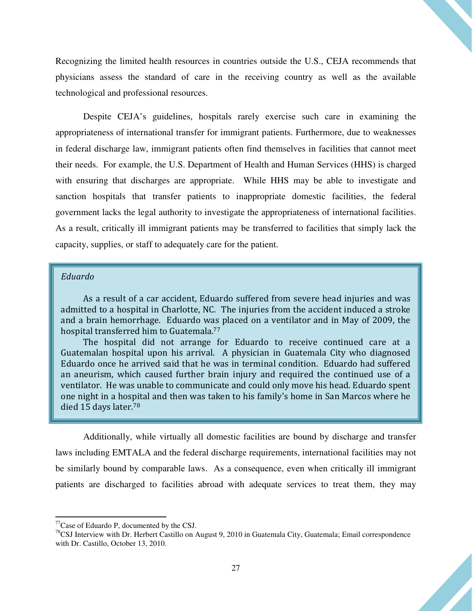Recognizing the limited health resources in countries outside the U.S., CEJA recommends that physicians assess the standard of care in the receiving country as well as the available technological and professional resources.

Despite CEJA's guidelines, hospitals rarely exercise such care in examining the appropriateness of international transfer for immigrant patients. Furthermore, due to weaknesses in federal discharge law, immigrant patients often find themselves in facilities that cannot meet their needs. For example, the U.S. Department of Health and Human Services (HHS) is charged with ensuring that discharges are appropriate. While HHS may be able to investigate and sanction hospitals that transfer patients to inappropriate domestic facilities, the federal government lacks the legal authority to investigate the appropriateness of international facilities. As a result, critically ill immigrant patients may be transferred to facilities that simply lack the capacity, supplies, or staff to adequately care for the patient.

#### Eduardo

 As a result of a car accident, Eduardo suffered from severe head injuries and was admitted to a hospital in Charlotte, NC. The injuries from the accident induced a stroke and a brain hemorrhage. Eduardo was placed on a ventilator and in May of 2009, the hospital transferred him to Guatemala.<sup>77</sup>

 The hospital did not arrange for Eduardo to receive continued care at a Guatemalan hospital upon his arrival. A physician in Guatemala City who diagnosed Eduardo once he arrived said that he was in terminal condition. Eduardo had suffered an aneurism, which caused further brain injury and required the continued use of a ventilator. He was unable to communicate and could only move his head. Eduardo spent one night in a hospital and then was taken to his family's home in San Marcos where he died 15 days later.<sup>78</sup>

Additionally, while virtually all domestic facilities are bound by discharge and transfer laws including EMTALA and the federal discharge requirements, international facilities may not be similarly bound by comparable laws. As a consequence, even when critically ill immigrant patients are discharged to facilities abroad with adequate services to treat them, they may

 $77$ Case of Eduardo P, documented by the CSJ.

<sup>&</sup>lt;sup>78</sup>CSJ Interview with Dr. Herbert Castillo on August 9, 2010 in Guatemala City, Guatemala; Email correspondence with Dr. Castillo, October 13, 2010.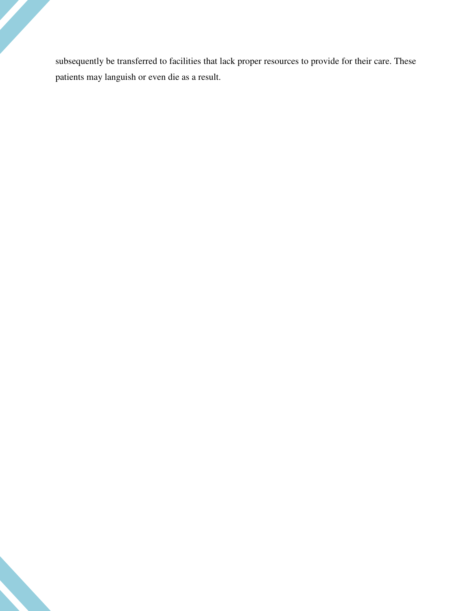subsequently be transferred to facilities that lack proper resources to provide for their care. These patients may languish or even die as a result.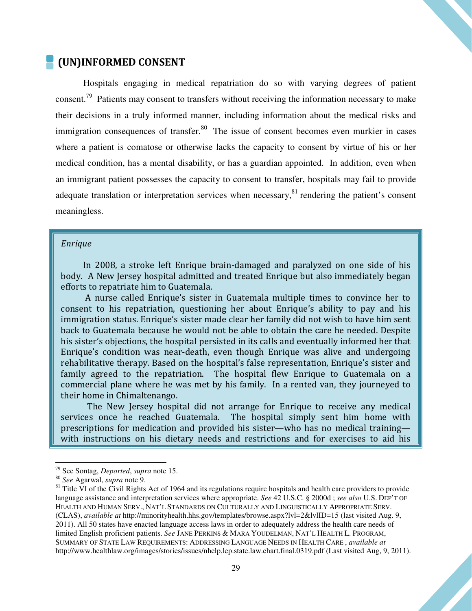### (UN)INFORMED CONSENT

Hospitals engaging in medical repatriation do so with varying degrees of patient consent.<sup>79</sup> Patients may consent to transfers without receiving the information necessary to make their decisions in a truly informed manner, including information about the medical risks and immigration consequences of transfer. $80$  The issue of consent becomes even murkier in cases where a patient is comatose or otherwise lacks the capacity to consent by virtue of his or her medical condition, has a mental disability, or has a guardian appointed. In addition, even when an immigrant patient possesses the capacity to consent to transfer, hospitals may fail to provide adequate translation or interpretation services when necessary, $81$  rendering the patient's consent meaningless.

#### Enrique

 In 2008, a stroke left Enrique brain-damaged and paralyzed on one side of his body. A New Jersey hospital admitted and treated Enrique but also immediately began efforts to repatriate him to Guatemala.

 A nurse called Enrique's sister in Guatemala multiple times to convince her to consent to his repatriation, questioning her about Enrique's ability to pay and his immigration status. Enrique's sister made clear her family did not wish to have him sent back to Guatemala because he would not be able to obtain the care he needed. Despite his sister's objections, the hospital persisted in its calls and eventually informed her that Enrique's condition was near-death, even though Enrique was alive and undergoing rehabilitative therapy. Based on the hospital's false representation, Enrique's sister and family agreed to the repatriation. The hospital flew Enrique to Guatemala on a commercial plane where he was met by his family. In a rented van, they journeyed to their home in Chimaltenango.

 The New Jersey hospital did not arrange for Enrique to receive any medical services once he reached Guatemala. The hospital simply sent him home with prescriptions for medication and provided his sister—who has no medical training with instructions on his dietary needs and restrictions and for exercises to aid his

<sup>79</sup> See Sontag, *Deported*, *supra* note 15.

<sup>80</sup> *See* Agarwal, *supra* note 9.

 $81$  Title VI of the Civil Rights Act of 1964 and its regulations require hospitals and health care providers to provide language assistance and interpretation services where appropriate. *See* 42 U.S.C. § 2000d ; *see also* U.S. DEP'T OF HEALTH AND HUMAN SERV., NAT'L STANDARDS ON CULTURALLY AND LINGUISTICALLY APPROPRIATE SERV. (CLAS), *available at* http://minorityhealth.hhs.gov/templates/browse.aspx?lvl=2&lvlID=15 (last visited Aug. 9, 2011). All 50 states have enacted language access laws in order to adequately address the health care needs of limited English proficient patients. *See* JANE PERKINS & MARA YOUDELMAN, NAT'L HEALTH L. PROGRAM, SUMMARY OF STATE LAW REQUIREMENTS: ADDRESSING LANGUAGE NEEDS IN HEALTH CARE , *available at*  http://www.healthlaw.org/images/stories/issues/nhelp.lep.state.law.chart.final.0319.pdf (Last visited Aug, 9, 2011).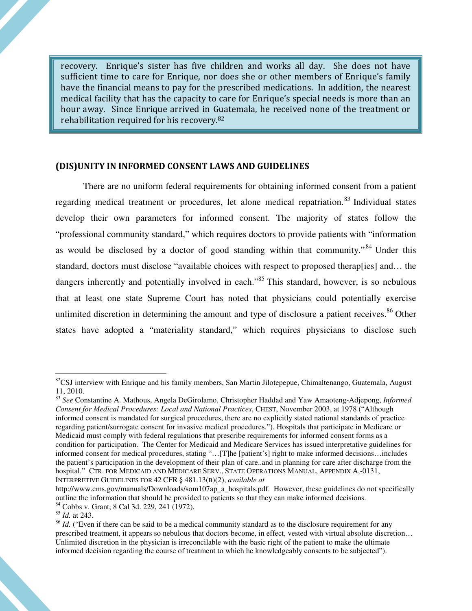recovery. Enrique's sister has five children and works all day. She does not have sufficient time to care for Enrique, nor does she or other members of Enrique's family have the financial means to pay for the prescribed medications. In addition, the nearest medical facility that has the capacity to care for Enrique's special needs is more than an hour away. Since Enrique arrived in Guatemala, he received none of the treatment or rehabilitation required for his recovery.<sup>82</sup>

#### (DIS)UNITY IN INFORMED CONSENT LAWS AND GUIDELINES

There are no uniform federal requirements for obtaining informed consent from a patient regarding medical treatment or procedures, let alone medical repatriation.<sup>83</sup> Individual states develop their own parameters for informed consent. The majority of states follow the "professional community standard," which requires doctors to provide patients with "information as would be disclosed by a doctor of good standing within that community."<sup>84</sup> Under this standard, doctors must disclose "available choices with respect to proposed therap[ies] and… the dangers inherently and potentially involved in each."<sup>85</sup> This standard, however, is so nebulous that at least one state Supreme Court has noted that physicians could potentially exercise unlimited discretion in determining the amount and type of disclosure a patient receives.<sup>86</sup> Other states have adopted a "materiality standard," which requires physicians to disclose such

 $82$ CSJ interview with Enrique and his family members, San Martin Jilotepepue, Chimaltenango, Guatemala, August 11, 2010.

<sup>83</sup> *See* Constantine A. Mathous, Angela DeGirolamo, Christopher Haddad and Yaw Amaoteng-Adjepong, *Informed Consent for Medical Procedures: Local and National Practices*, CHEST, November 2003, at 1978 ("Although informed consent is mandated for surgical procedures, there are no explicitly stated national standards of practice regarding patient/surrogate consent for invasive medical procedures."). Hospitals that participate in Medicare or Medicaid must comply with federal regulations that prescribe requirements for informed consent forms as a condition for participation. The Center for Medicaid and Medicare Services has issued interpretative guidelines for informed consent for medical procedures, stating "…[T]he [patient's] right to make informed decisions…includes the patient's participation in the development of their plan of care..and in planning for care after discharge from the hospital." CTR. FOR MEDICAID AND MEDICARE SERV., STATE OPERATIONS MANUAL, APPENDIX A,-0131, INTERPRETIVE GUIDELINES FOR 42 CFR § 481.13(B)(2), *available at* 

http://www.cms.gov/manuals/Downloads/som107ap\_a\_hospitals.pdf. However, these guidelines do not specifically outline the information that should be provided to patients so that they can make informed decisions. <sup>84</sup> Cobbs v. Grant, 8 Cal 3d. 229, 241 (1972).

<sup>85</sup> *Id.* at 243.

<sup>&</sup>lt;sup>86</sup> *Id.* ("Even if there can be said to be a medical community standard as to the disclosure requirement for any prescribed treatment, it appears so nebulous that doctors become, in effect, vested with virtual absolute discretion… Unlimited discretion in the physician is irreconcilable with the basic right of the patient to make the ultimate informed decision regarding the course of treatment to which he knowledgeably consents to be subjected").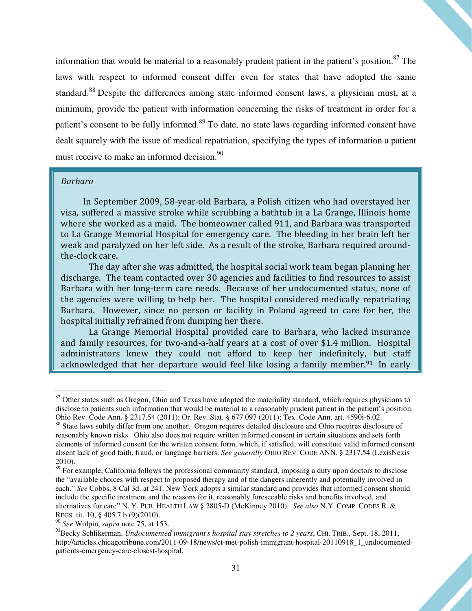information that would be material to a reasonably prudent patient in the patient's position.<sup>87</sup> The laws with respect to informed consent differ even for states that have adopted the same standard.<sup>88</sup> Despite the differences among state informed consent laws, a physician must, at a minimum, provide the patient with information concerning the risks of treatment in order for a patient's consent to be fully informed.<sup>89</sup> To date, no state laws regarding informed consent have dealt squarely with the issue of medical repatriation, specifying the types of information a patient must receive to make an informed decision.<sup>90</sup>

#### Barbara

l

 In September 2009, 58-year-old Barbara, a Polish citizen who had overstayed her visa, suffered a massive stroke while scrubbing a bathtub in a La Grange, Illinois home where she worked as a maid. The homeowner called 911, and Barbara was transported to La Grange Memorial Hospital for emergency care. The bleeding in her brain left her weak and paralyzed on her left side. As a result of the stroke, Barbara required aroundthe-clock care.

The day after she was admitted, the hospital social work team began planning her discharge. The team contacted over 30 agencies and facilities to find resources to assist Barbara with her long-term care needs. Because of her undocumented status, none of the agencies were willing to help her. The hospital considered medically repatriating Barbara. However, since no person or facility in Poland agreed to care for her, the hospital initially refrained from dumping her there.

La Grange Memorial Hospital provided care to Barbara, who lacked insurance and family resources, for two-and-a-half years at a cost of over \$1.4 million. Hospital administrators knew they could not afford to keep her indefinitely, but staff acknowledged that her departure would feel like losing a family member.<sup>91</sup> In early

<sup>&</sup>lt;sup>87</sup> Other states such as Oregon, Ohio and Texas have adopted the materiality standard, which requires physicians to disclose to patients such information that would be material to a reasonably prudent patient in the patient's position. Ohio Rev. Code Ann. § 2317.54 (2011); Or. Rev. Stat. § 677.097 (2011); Tex. Code Ann. art. 4590i-6.02.

<sup>&</sup>lt;sup>88</sup> State laws subtly differ from one another. Oregon requires detailed disclosure and Ohio requires disclosure of reasonably known risks. Ohio also does not require written informed consent in certain situations and sets forth elements of informed consent for the written consent form, which, if satisfied, will constitute valid informed consent absent lack of good faith, fraud, or language barriers. *See generally* OHIO REV. CODE ANN. § 2317.54 (LexisNexis 2010).

<sup>&</sup>lt;sup>89</sup> For example, California follows the professional community standard, imposing a duty upon doctors to disclose the "available choices with respect to proposed therapy and of the dangers inherently and potentially involved in each." *See* Cobbs, 8 Cal 3d. at 241. New York adopts a similar standard and provides that informed consent should include the specific treatment and the reasons for it, reasonably foreseeable risks and benefits involved, and alternatives for care" N. Y. PUB. HEALTH LAW § 2805-D (McKinney 2010). *See also* N.Y. COMP. CODES R. & REGS. tit. 10, § 405.7 b (9)(2010).

<sup>90</sup> *See* Wolpin, *supra* note 75, at 153.

<sup>&</sup>lt;sup>91</sup>Becky Schlikerman, *Undocumented immigrant's hospital stay stretches to 2 years*, CHI. TRIB., Sept. 18, 2011, http://articles.chicagotribune.com/2011-09-18/news/ct-met-polish-immigrant-hospital-20110918\_1\_undocumentedpatients-emergency-care-closest-hospital.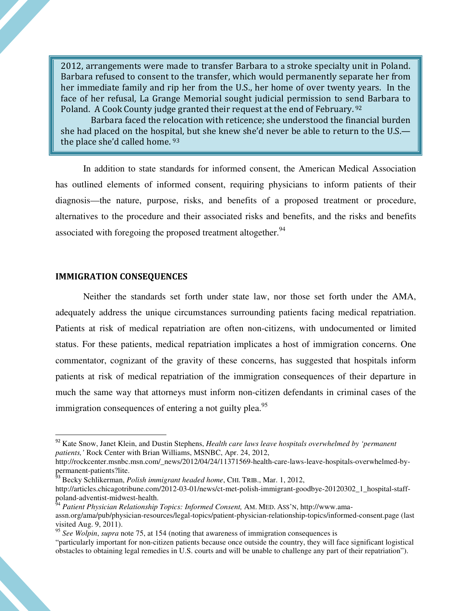2012, arrangements were made to transfer Barbara to a stroke specialty unit in Poland. Barbara refused to consent to the transfer, which would permanently separate her from her immediate family and rip her from the U.S., her home of over twenty years. In the face of her refusal, La Grange Memorial sought judicial permission to send Barbara to Poland. A Cook County judge granted their request at the end of February. <sup>92</sup>

 Barbara faced the relocation with reticence; she understood the financial burden she had placed on the hospital, but she knew she'd never be able to return to the U.S. the place she'd called home. <sup>93</sup>

In addition to state standards for informed consent, the American Medical Association has outlined elements of informed consent, requiring physicians to inform patients of their diagnosis—the nature, purpose, risks, and benefits of a proposed treatment or procedure, alternatives to the procedure and their associated risks and benefits, and the risks and benefits associated with foregoing the proposed treatment altogether.<sup>94</sup>

#### IMMIGRATION CONSEQUENCES

 $\overline{\phantom{a}}$ 

Neither the standards set forth under state law, nor those set forth under the AMA, adequately address the unique circumstances surrounding patients facing medical repatriation. Patients at risk of medical repatriation are often non-citizens, with undocumented or limited status. For these patients, medical repatriation implicates a host of immigration concerns. One commentator, cognizant of the gravity of these concerns, has suggested that hospitals inform patients at risk of medical repatriation of the immigration consequences of their departure in much the same way that attorneys must inform non-citizen defendants in criminal cases of the immigration consequences of entering a not guilty plea.<sup>95</sup>

<sup>92</sup> Kate Snow, Janet Klein, and Dustin Stephens, *Health care laws leave hospitals overwhelmed by 'permanent patients,'* Rock Center with Brian Williams, MSNBC, Apr. 24, 2012,

http://rockcenter.msnbc.msn.com/\_news/2012/04/24/11371569-health-care-laws-leave-hospitals-overwhelmed-bypermanent-patients?lite.

<sup>93</sup> Becky Schlikerman, *Polish immigrant headed home*, CHI. TRIB., Mar. 1, 2012, http://articles.chicagotribune.com/2012-03-01/news/ct-met-polish-immigrant-goodbye-20120302\_1\_hospital-staffpoland-adventist-midwest-health.

<sup>&</sup>lt;sup>54</sup> Patient Physician Relationship Topics: Informed Consent, AM. MED. ASS'N, http://www.amaassn.org/ama/pub/physician-resources/legal-topics/patient-physician-relationship-topics/informed-consent.page (last visited Aug. 9, 2011).

<sup>95</sup> *See Wolpin*, *supra* note 75, at 154 (noting that awareness of immigration consequences is

<sup>&</sup>quot;particularly important for non-citizen patients because once outside the country, they will face significant logistical obstacles to obtaining legal remedies in U.S. courts and will be unable to challenge any part of their repatriation").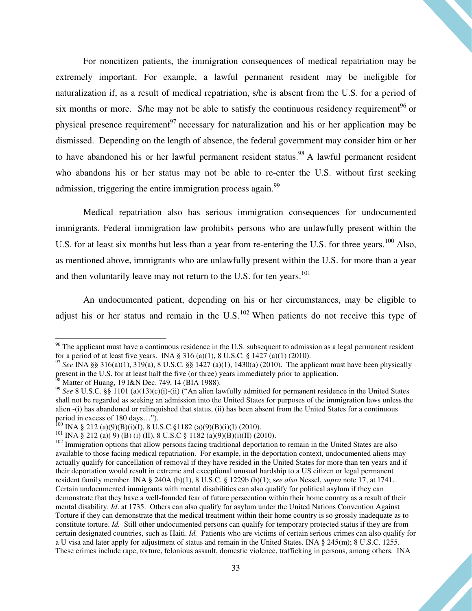For noncitizen patients, the immigration consequences of medical repatriation may be extremely important. For example, a lawful permanent resident may be ineligible for naturalization if, as a result of medical repatriation, s/he is absent from the U.S. for a period of six months or more. S/he may not be able to satisfy the continuous residency requirement<sup>96</sup> or physical presence requirement<sup>97</sup> necessary for naturalization and his or her application may be dismissed. Depending on the length of absence, the federal government may consider him or her to have abandoned his or her lawful permanent resident status.<sup>98</sup> A lawful permanent resident who abandons his or her status may not be able to re-enter the U.S. without first seeking admission, triggering the entire immigration process again.<sup>99</sup>

Medical repatriation also has serious immigration consequences for undocumented immigrants. Federal immigration law prohibits persons who are unlawfully present within the U.S. for at least six months but less than a year from re-entering the U.S. for three years.<sup>100</sup> Also, as mentioned above, immigrants who are unlawfully present within the U.S. for more than a year and then voluntarily leave may not return to the U.S. for ten years.<sup>101</sup>

An undocumented patient, depending on his or her circumstances, may be eligible to adjust his or her status and remain in the  $U.S.<sup>102</sup>$  When patients do not receive this type of

<sup>&</sup>lt;sup>96</sup> The applicant must have a continuous residence in the U.S. subsequent to admission as a legal permanent resident for a period of at least five years. INA § 316 (a)(1), 8 U.S.C. § 1427 (a)(1) (2010).

<sup>97</sup> *See* INA §§ 316(a)(1), 319(a), 8 U.S.C. §§ 1427 (a)(1), 1430(a) (2010). The applicant must have been physically present in the U.S. for at least half the five (or three) years immediately prior to application.  $^{98}$  Matter of Huang, 19 I&N Dec. 749, 14 (BIA 1988).

<sup>99</sup> *See* 8 U.S.C. §§ 1101 (a)(13)(c)(i)-(ii) ("An alien lawfully admitted for permanent residence in the United States shall not be regarded as seeking an admission into the United States for purposes of the immigration laws unless the alien -(i) has abandoned or relinquished that status, (ii) has been absent from the United States for a continuous period in excess of 180 days…").

<sup>&</sup>lt;sup>100</sup> INA § 212 (a)(9)(B)(i)(I), 8 U.S.C.§1182 (a)(9)(B)(i)(I) (2010).

<sup>101</sup> INA § 212 (a)( 9) (B) (i) (II), 8 U.S.C § 1182 (a)(9)(B)(i)(II) (2010).

 $102$  Immigration options that allow persons facing traditional deportation to remain in the United States are also available to those facing medical repatriation. For example, in the deportation context, undocumented aliens may actually qualify for cancellation of removal if they have resided in the United States for more than ten years and if their deportation would result in extreme and exceptional unusual hardship to a US citizen or legal permanent resident family member. INA § 240A (b)(1), 8 U.S.C. § 1229b (b)(1); s*ee also* Nessel, *supra* note 17, at 1741. Certain undocumented immigrants with mental disabilities can also qualify for political asylum if they can demonstrate that they have a well-founded fear of future persecution within their home country as a result of their mental disability. *Id*. at 1735. Others can also qualify for asylum under the United Nations Convention Against Torture if they can demonstrate that the medical treatment within their home country is so grossly inadequate as to constitute torture. *Id.* Still other undocumented persons can qualify for temporary protected status if they are from certain designated countries, such as Haiti. *Id.* Patients who are victims of certain serious crimes can also qualify for a U visa and later apply for adjustment of status and remain in the United States. INA § 245(m); 8 U.S.C. 1255. These crimes include rape, torture, felonious assault, domestic violence, trafficking in persons, among others. INA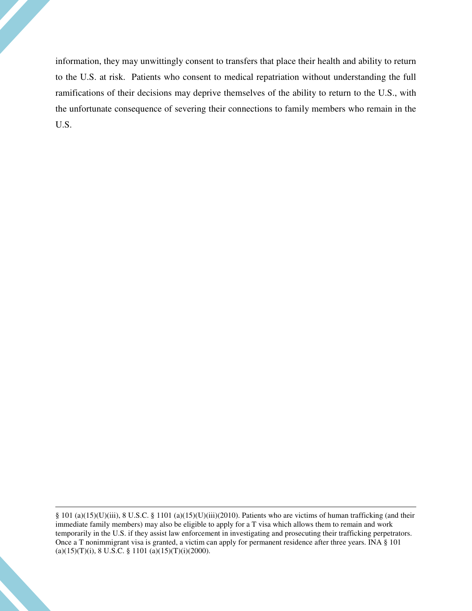information, they may unwittingly consent to transfers that place their health and ability to return to the U.S. at risk. Patients who consent to medical repatriation without understanding the full ramifications of their decisions may deprive themselves of the ability to return to the U.S., with the unfortunate consequence of severing their connections to family members who remain in the U.S.

§ 101 (a)(15)(U)(iii), 8 U.S.C. § 1101 (a)(15)(U)(iii)(2010). Patients who are victims of human trafficking (and their immediate family members) may also be eligible to apply for a T visa which allows them to remain and work temporarily in the U.S. if they assist law enforcement in investigating and prosecuting their trafficking perpetrators. Once a T nonimmigrant visa is granted, a victim can apply for permanent residence after three years. INA § 101  $(a)(15)(T)(i)$ , 8 U.S.C. § 1101  $(a)(15)(T)(i)(2000)$ .

 $\overline{\phantom{a}}$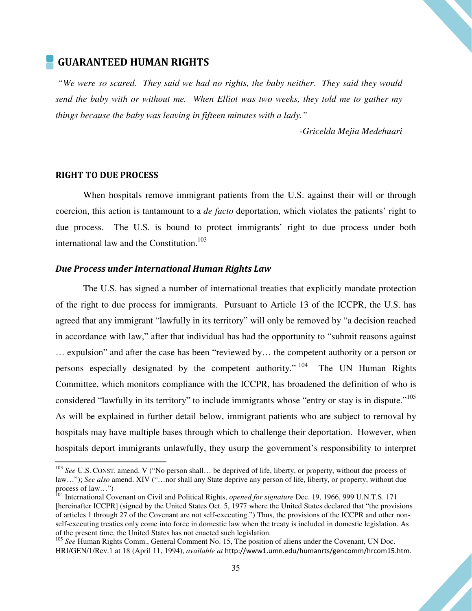#### GUARANTEED HUMAN RIGHTS

 *"We were so scared. They said we had no rights, the baby neither. They said they would send the baby with or without me. When Elliot was two weeks, they told me to gather my things because the baby was leaving in fifteen minutes with a lady."* 

*-Gricelda Mejia Medehuari* 

#### RIGHT TO DUE PROCESS

 $\overline{\phantom{a}}$ 

When hospitals remove immigrant patients from the U.S. against their will or through coercion, this action is tantamount to a *de facto* deportation, which violates the patients' right to due process. The U.S. is bound to protect immigrants' right to due process under both international law and the Constitution.<sup>103</sup>

#### Due Process under International Human Rights Law

The U.S. has signed a number of international treaties that explicitly mandate protection of the right to due process for immigrants. Pursuant to Article 13 of the ICCPR, the U.S. has agreed that any immigrant "lawfully in its territory" will only be removed by "a decision reached in accordance with law," after that individual has had the opportunity to "submit reasons against … expulsion" and after the case has been "reviewed by… the competent authority or a person or persons especially designated by the competent authority."  $104$  The UN Human Rights Committee, which monitors compliance with the ICCPR, has broadened the definition of who is considered "lawfully in its territory" to include immigrants whose "entry or stay is in dispute."<sup>105</sup> As will be explained in further detail below, immigrant patients who are subject to removal by hospitals may have multiple bases through which to challenge their deportation. However, when hospitals deport immigrants unlawfully, they usurp the government's responsibility to interpret

<sup>103</sup> *See* U.S. CONST. amend. V ("No person shall… be deprived of life, liberty, or property, without due process of law…"); *See also* amend. XIV ("…nor shall any State deprive any person of life, liberty, or property, without due process of law…")

<sup>104</sup> International Covenant on Civil and Political Rights, *opened for signature* Dec. 19, 1966, 999 U.N.T.S. 171 [hereinafter ICCPR] (signed by the United States Oct. 5, 1977 where the United States declared that "the provisions of articles 1 through 27 of the Covenant are not self-executing.") Thus, the provisions of the ICCPR and other nonself-executing treaties only come into force in domestic law when the treaty is included in domestic legislation. As of the present time, the United States has not enacted such legislation.

<sup>&</sup>lt;sup>105</sup> See Human Rights Comm., General Comment No. 15, The position of aliens under the Covenant, UN Doc. HRI/GEN/1/Rev.1 at 18 (April 11, 1994), *available at* http://www1.umn.edu/humanrts/gencomm/hrcom15.htm.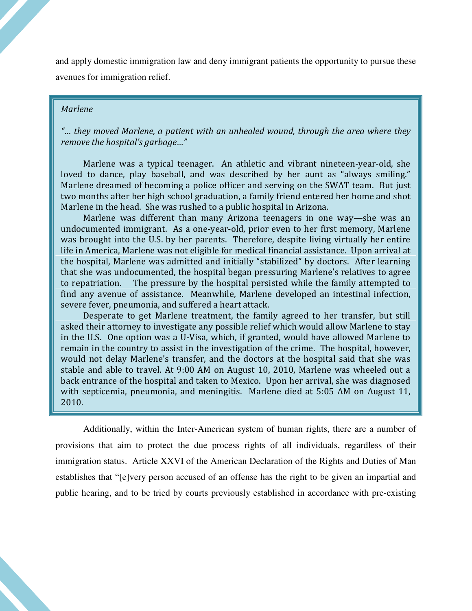and apply domestic immigration law and deny immigrant patients the opportunity to pursue these avenues for immigration relief.

#### Marlene

"… they moved Marlene, a patient with an unhealed wound, through the area where they remove the hospital's garbage…"

 Marlene was a typical teenager. An athletic and vibrant nineteen-year-old, she loved to dance, play baseball, and was described by her aunt as "always smiling." Marlene dreamed of becoming a police officer and serving on the SWAT team. But just two months after her high school graduation, a family friend entered her home and shot Marlene in the head. She was rushed to a public hospital in Arizona.

 Marlene was different than many Arizona teenagers in one way—she was an undocumented immigrant. As a one-year-old, prior even to her first memory, Marlene was brought into the U.S. by her parents. Therefore, despite living virtually her entire life in America, Marlene was not eligible for medical financial assistance. Upon arrival at the hospital, Marlene was admitted and initially "stabilized" by doctors. After learning that she was undocumented, the hospital began pressuring Marlene's relatives to agree to repatriation. The pressure by the hospital persisted while the family attempted to find any avenue of assistance. Meanwhile, Marlene developed an intestinal infection, severe fever, pneumonia, and suffered a heart attack.

 Desperate to get Marlene treatment, the family agreed to her transfer, but still asked their attorney to investigate any possible relief which would allow Marlene to stay in the U.S. One option was a U-Visa, which, if granted, would have allowed Marlene to remain in the country to assist in the investigation of the crime. The hospital, however, would not delay Marlene's transfer, and the doctors at the hospital said that she was stable and able to travel. At 9:00 AM on August 10, 2010, Marlene was wheeled out a back entrance of the hospital and taken to Mexico. Upon her arrival, she was diagnosed with septicemia, pneumonia, and meningitis. Marlene died at 5:05 AM on August 11, 2010.

Additionally, within the Inter-American system of human rights, there are a number of provisions that aim to protect the due process rights of all individuals, regardless of their immigration status. Article XXVI of the American Declaration of the Rights and Duties of Man establishes that "[e]very person accused of an offense has the right to be given an impartial and public hearing, and to be tried by courts previously established in accordance with pre-existing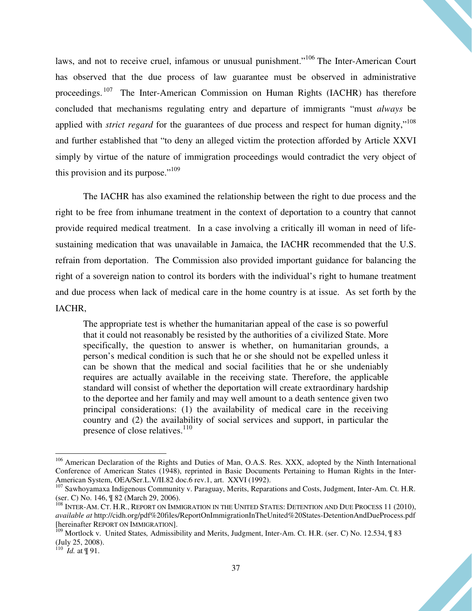laws, and not to receive cruel, infamous or unusual punishment."<sup>106</sup> The Inter-American Court has observed that the due process of law guarantee must be observed in administrative proceedings.<sup>107</sup> The Inter-American Commission on Human Rights (IACHR) has therefore concluded that mechanisms regulating entry and departure of immigrants "must *always* be applied with *strict regard* for the guarantees of due process and respect for human dignity,"<sup>108</sup> and further established that "to deny an alleged victim the protection afforded by Article XXVI simply by virtue of the nature of immigration proceedings would contradict the very object of this provision and its purpose."<sup>109</sup>

The IACHR has also examined the relationship between the right to due process and the right to be free from inhumane treatment in the context of deportation to a country that cannot provide required medical treatment. In a case involving a critically ill woman in need of lifesustaining medication that was unavailable in Jamaica, the IACHR recommended that the U.S. refrain from deportation. The Commission also provided important guidance for balancing the right of a sovereign nation to control its borders with the individual's right to humane treatment and due process when lack of medical care in the home country is at issue. As set forth by the IACHR,

The appropriate test is whether the humanitarian appeal of the case is so powerful that it could not reasonably be resisted by the authorities of a civilized State. More specifically, the question to answer is whether, on humanitarian grounds, a person's medical condition is such that he or she should not be expelled unless it can be shown that the medical and social facilities that he or she undeniably requires are actually available in the receiving state. Therefore, the applicable standard will consist of whether the deportation will create extraordinary hardship to the deportee and her family and may well amount to a death sentence given two principal considerations: (1) the availability of medical care in the receiving country and (2) the availability of social services and support, in particular the presence of close relatives. $110$ 

 $\overline{\phantom{a}}$ 

<sup>&</sup>lt;sup>106</sup> American Declaration of the Rights and Duties of Man, O.A.S. Res. XXX, adopted by the Ninth International Conference of American States (1948), reprinted in Basic Documents Pertaining to Human Rights in the Inter-American System, OEA/Ser.L.V/II.82 doc.6 rev.1, art. XXVI (1992).

<sup>&</sup>lt;sup>107</sup> Sawhoyamaxa Indigenous Community v. Paraguay, Merits, Reparations and Costs, Judgment, Inter-Am. Ct. H.R. (ser. C) No. 146, ¶ 82 (March 29, 2006).

 $^{108}$  INTER-AM. CT. H.R., REPORT ON IMMIGRATION IN THE UNITED STATES: DETENTION AND DUE PROCESS 11 (2010), *available at* http://cidh.org/pdf%20files/ReportOnImmigrationInTheUnited%20States-DetentionAndDueProcess.pdf [hereinafter REPORT ON IMMIGRATION].

<sup>109</sup> Mortlock v. United States*,* Admissibility and Merits, Judgment, Inter-Am. Ct. H.R. (ser. C) No. 12.534, ¶ 83 (July 25, 2008). 110 *Id.* at ¶ 91.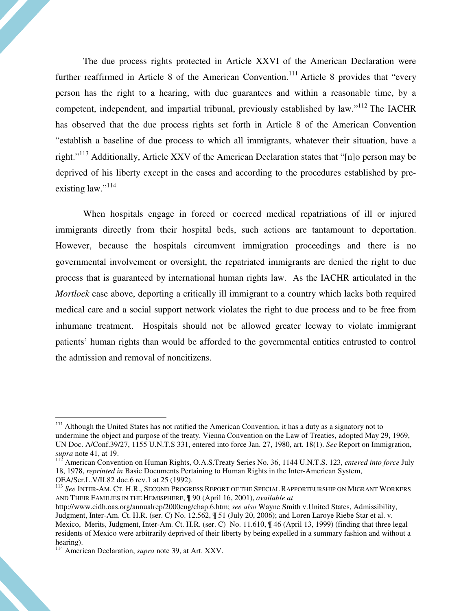The due process rights protected in Article XXVI of the American Declaration were further reaffirmed in Article 8 of the American Convention.<sup>111</sup> Article 8 provides that "every" person has the right to a hearing, with due guarantees and within a reasonable time, by a competent, independent, and impartial tribunal, previously established by law."<sup>112</sup> The IACHR has observed that the due process rights set forth in Article 8 of the American Convention "establish a baseline of due process to which all immigrants, whatever their situation, have a right."<sup>113</sup> Additionally, Article XXV of the American Declaration states that "[n]o person may be deprived of his liberty except in the cases and according to the procedures established by preexisting law."<sup>114</sup>

When hospitals engage in forced or coerced medical repatriations of ill or injured immigrants directly from their hospital beds, such actions are tantamount to deportation. However, because the hospitals circumvent immigration proceedings and there is no governmental involvement or oversight, the repatriated immigrants are denied the right to due process that is guaranteed by international human rights law. As the IACHR articulated in the *Mortlock* case above, deporting a critically ill immigrant to a country which lacks both required medical care and a social support network violates the right to due process and to be free from inhumane treatment. Hospitals should not be allowed greater leeway to violate immigrant patients' human rights than would be afforded to the governmental entities entrusted to control the admission and removal of noncitizens.

<sup>113</sup> *See* INTER-AM. CT. H.R., SECOND PROGRESS REPORT OF THE SPECIAL RAPPORTEURSHIP ON MIGRANT WORKERS AND THEIR FAMILIES IN THE HEMISPHERE, ¶ 90 (April 16, 2001), *available at* 

<sup>&</sup>lt;sup>111</sup> Although the United States has not ratified the American Convention, it has a duty as a signatory not to undermine the object and purpose of the treaty. Vienna Convention on the Law of Treaties, adopted May 29, 1969, UN Doc. A/Conf.39/27, 1155 U.N.T.S 331, entered into force Jan. 27, 1980, art. 18(1). *See* Report on Immigration, *supra* note 41, at 19.

<sup>112</sup> American Convention on Human Rights, O.A.S.Treaty Series No. 36, 1144 U.N.T.S. 123, *entered into force* July 18, 1978, *reprinted in* Basic Documents Pertaining to Human Rights in the Inter-American System, OEA/Ser.L.V/II.82 doc.6 rev.1 at 25 (1992).

http://www.cidh.oas.org/annualrep/2000eng/chap.6.htm; *see also* Wayne Smith v.United States, Admissibility, Judgment, Inter-Am. Ct. H.R. (ser. C) No. 12.562, ¶ 51 (July 20, 2006); and Loren Laroye Riebe Star et al. v. Mexico,Merits, Judgment, Inter-Am. Ct. H.R. (ser. C) No. 11.610, ¶ 46 (April 13, 1999) (finding that three legal residents of Mexico were arbitrarily deprived of their liberty by being expelled in a summary fashion and without a hearing).

<sup>114</sup> American Declaration, *supra* note 39, at Art. XXV.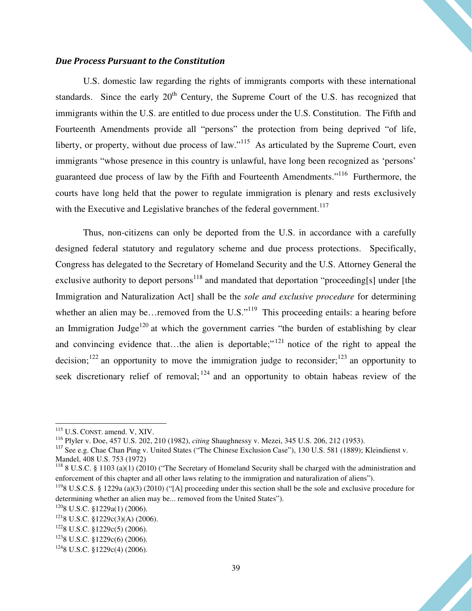#### Due Process Pursuant to the Constitution

U.S. domestic law regarding the rights of immigrants comports with these international standards. Since the early  $20<sup>th</sup>$  Century, the Supreme Court of the U.S. has recognized that immigrants within the U.S. are entitled to due process under the U.S. Constitution. The Fifth and Fourteenth Amendments provide all "persons" the protection from being deprived "of life, liberty, or property, without due process of law."<sup>115</sup> As articulated by the Supreme Court, even immigrants "whose presence in this country is unlawful, have long been recognized as 'persons' guaranteed due process of law by the Fifth and Fourteenth Amendments."<sup>116</sup> Furthermore, the courts have long held that the power to regulate immigration is plenary and rests exclusively with the Executive and Legislative branches of the federal government.<sup>117</sup>

Thus, non-citizens can only be deported from the U.S. in accordance with a carefully designed federal statutory and regulatory scheme and due process protections. Specifically, Congress has delegated to the Secretary of Homeland Security and the U.S. Attorney General the exclusive authority to deport persons<sup>118</sup> and mandated that deportation "proceeding[s] under [the Immigration and Naturalization Act] shall be the *sole and exclusive procedure* for determining whether an alien may be…removed from the U.S."<sup>119</sup> This proceeding entails: a hearing before an Immigration Judge<sup>120</sup> at which the government carries "the burden of establishing by clear and convincing evidence that...the alien is deportable;"<sup> $121$ </sup> notice of the right to appeal the decision;<sup>122</sup> an opportunity to move the immigration judge to reconsider;<sup>123</sup> an opportunity to seek discretionary relief of removal;  $124$  and an opportunity to obtain habeas review of the

l

<sup>116</sup> Plyler v. Doe, 457 U.S. 202, 210 (1982), *citing* Shaughnessy v. Mezei, 345 U.S. 206, 212 (1953).

<sup>115</sup> U.S. CONST. amend. V, XIV.

<sup>&</sup>lt;sup>117</sup> See e.g. Chae Chan Ping v. United States ("The Chinese Exclusion Case"), 130 U.S. 581 (1889); Kleindienst v. Mandel, 408 U.S. 753 (1972)

<sup>&</sup>lt;sup>118</sup> 8 U.S.C. § 1103 (a)(1) (2010) ("The Secretary of Homeland Security shall be charged with the administration and enforcement of this chapter and all other laws relating to the immigration and naturalization of aliens").

 $1198$  U.S.C.S. § 1229a (a)(3) (2010) ("[A] proceeding under this section shall be the sole and exclusive procedure for determining whether an alien may be... removed from the United States").

 $1208$  U.S.C. §1229a(1) (2006).

 $1218$  U.S.C. §1229c(3)(A) (2006).

 $1228$  U.S.C. §1229c(5) (2006).

 $1238$  U.S.C. §1229c(6) (2006).

 $1248$  U.S.C. §1229c(4) (2006).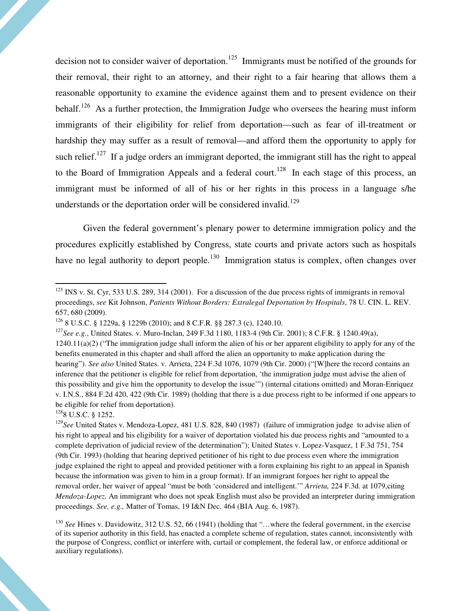decision not to consider waiver of deportation.<sup>125</sup> Immigrants must be notified of the grounds for their removal, their right to an attorney, and their right to a fair hearing that allows them a reasonable opportunity to examine the evidence against them and to present evidence on their behalf.<sup>126</sup> As a further protection, the Immigration Judge who oversees the hearing must inform immigrants of their eligibility for relief from deportation—such as fear of ill-treatment or hardship they may suffer as a result of removal—and afford them the opportunity to apply for such relief.<sup>127</sup> If a judge orders an immigrant deported, the immigrant still has the right to appeal to the Board of Immigration Appeals and a federal court.<sup>128</sup> In each stage of this process, an immigrant must be informed of all of his or her rights in this process in a language s/he understands or the deportation order will be considered invalid.<sup>129</sup>

Given the federal government's plenary power to determine immigration policy and the procedures explicitly established by Congress, state courts and private actors such as hospitals have no legal authority to deport people.<sup>130</sup> Immigration status is complex, often changes over

 $1288$  U.S.C. § 1252.

 $125$  INS v. St. Cyr, 533 U.S. 289, 314 (2001). For a discussion of the due process rights of immigrants in removal proceedings, *see* Kit Johnson, *Patients Without Borders: Extralegal Deportation by Hospitals*, 78 U. CIN. L. REV. 657, 680 (2009).

<sup>126</sup> 8 U.S.C. § 1229a, § 1229b (2010); and 8 C.F.R. §§ 287.3 (c), 1240.10.

<sup>&</sup>lt;sup>127</sup>*See e.g.*, United States. v. Muro-Inclan, 249 F.3d 1180, 1183-4 (9th Cir. 2001); 8 C.F.R. § 1240.49(a),  $1240.11(a)(2)$  ("The immigration judge shall inform the alien of his or her apparent eligibility to apply for any of the benefits enumerated in this chapter and shall afford the alien an opportunity to make application during the hearing"). *See also* United States. v. Arrieta, 224 F.3d 1076, 1079 (9th Cir. 2000) ("[W]here the record contains an inference that the petitioner is eligible for relief from deportation, 'the immigration judge must advise the alien of this possibility and give him the opportunity to develop the issue'") (internal citations omitted) and Moran-Enriquez v. I.N.S., 884 F.2d 420, 422 (9th Cir. 1989) (holding that there is a due process right to be informed if one appears to be eligible for relief from deportation).

<sup>129</sup>*See* United States v. Mendoza-Lopez, 481 U.S. 828, 840 (1987) (failure of immigration judge to advise alien of his right to appeal and his eligibility for a waiver of deportation violated his due process rights and "amounted to a complete deprivation of judicial review of the determination"); United States v. Lopez-Vasquez, 1 F.3d 751, 754 (9th Cir. 1993) (holding that hearing deprived petitioner of his right to due process even where the immigration judge explained the right to appeal and provided petitioner with a form explaining his right to an appeal in Spanish because the information was given to him in a group format). If an immigrant forgoes her right to appeal the removal order, her waiver of appeal "must be both 'considered and intelligent.'" *Arrieta,* 224 F.3d. at 1079,citing *Mendoza-Lopez*. An immigrant who does not speak English must also be provided an interpreter during immigration proceedings. *See, e.g.,* Matter of Tomas, 19 I&N Dec. 464 (BIA Aug. 6, 1987).

<sup>&</sup>lt;sup>130</sup> *See* Hines v. Davidowitz, 312 U.S. 52, 66 (1941) (holding that "...where the federal government, in the exercise of its superior authority in this field, has enacted a complete scheme of regulation, states cannot, inconsistently with the purpose of Congress, conflict or interfere with, curtail or complement, the federal law, or enforce additional or auxiliary regulations).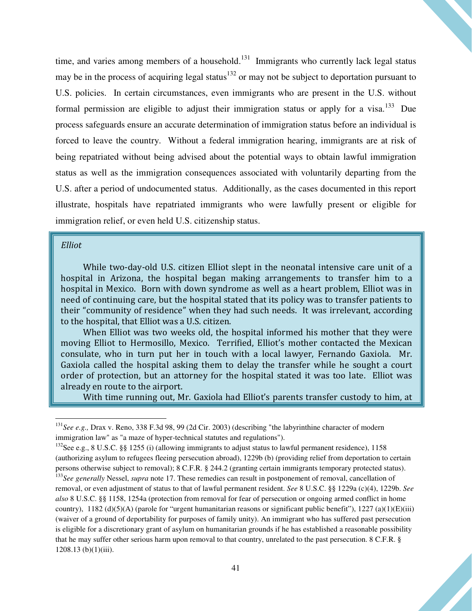time, and varies among members of a household.<sup>131</sup> Immigrants who currently lack legal status may be in the process of acquiring legal status<sup>132</sup> or may not be subject to deportation pursuant to U.S. policies. In certain circumstances, even immigrants who are present in the U.S. without formal permission are eligible to adjust their immigration status or apply for a visa.<sup>133</sup> Due process safeguards ensure an accurate determination of immigration status before an individual is forced to leave the country. Without a federal immigration hearing, immigrants are at risk of being repatriated without being advised about the potential ways to obtain lawful immigration status as well as the immigration consequences associated with voluntarily departing from the U.S. after a period of undocumented status. Additionally, as the cases documented in this report illustrate, hospitals have repatriated immigrants who were lawfully present or eligible for immigration relief, or even held U.S. citizenship status.

#### Elliot

 $\overline{\phantom{a}}$ 

While two-day-old U.S. citizen Elliot slept in the neonatal intensive care unit of a hospital in Arizona, the hospital began making arrangements to transfer him to a hospital in Mexico. Born with down syndrome as well as a heart problem, Elliot was in need of continuing care, but the hospital stated that its policy was to transfer patients to their "community of residence" when they had such needs. It was irrelevant, according to the hospital, that Elliot was a U.S. citizen.

 When Elliot was two weeks old, the hospital informed his mother that they were moving Elliot to Hermosillo, Mexico. Terrified, Elliot's mother contacted the Mexican consulate, who in turn put her in touch with a local lawyer, Fernando Gaxiola. Mr. Gaxiola called the hospital asking them to delay the transfer while he sought a court order of protection, but an attorney for the hospital stated it was too late. Elliot was already en route to the airport.

With time running out, Mr. Gaxiola had Elliot's parents transfer custody to him, at

<sup>131</sup>*See e.g.,* Drax v. Reno, 338 F.3d 98, 99 (2d Cir. 2003) (describing "the labyrinthine character of modern immigration law" as "a maze of hyper-technical statutes and regulations").

<sup>&</sup>lt;sup>132</sup>See e.g., 8 U.S.C. §§ 1255 (i) (allowing immigrants to adjust status to lawful permanent residence), 1158 (authorizing asylum to refugees fleeing persecution abroad), 1229b (b) (providing relief from deportation to certain persons otherwise subject to removal); 8 C.F.R. § 244.2 (granting certain immigrants temporary protected status).

<sup>&</sup>lt;sup>133</sup>See generally Nessel, *supra* note 17. These remedies can result in postponement of removal, cancellation of removal, or even adjustment of status to that of lawful permanent resident. *See* 8 U.S.C. §§ 1229a (c)(4), 1229b. *See also* 8 U.S.C. §§ 1158, 1254a (protection from removal for fear of persecution or ongoing armed conflict in home country),  $1182 \text{ (d)(5)(A)}$  (parole for "urgent humanitarian reasons or significant public benefit"),  $1227 \text{ (a)(1)(E)(iii)}$ (waiver of a ground of deportability for purposes of family unity). An immigrant who has suffered past persecution is eligible for a discretionary grant of asylum on humanitarian grounds if he has established a reasonable possibility that he may suffer other serious harm upon removal to that country, unrelated to the past persecution. 8 C.F.R. § 1208.13 (b)(1)(iii).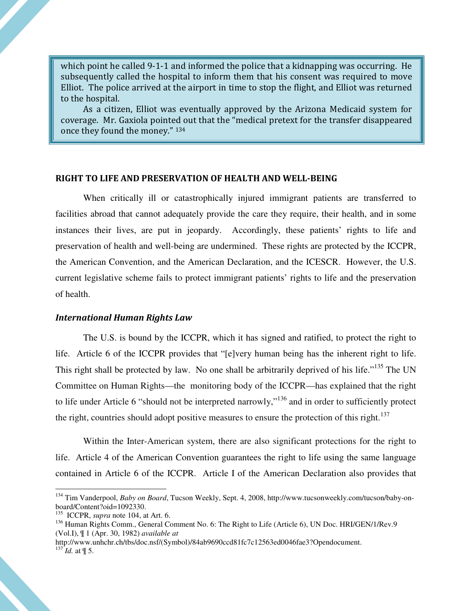which point he called 9-1-1 and informed the police that a kidnapping was occurring. He subsequently called the hospital to inform them that his consent was required to move Elliot. The police arrived at the airport in time to stop the flight, and Elliot was returned to the hospital.

 As a citizen, Elliot was eventually approved by the Arizona Medicaid system for coverage. Mr. Gaxiola pointed out that the "medical pretext for the transfer disappeared once they found the money." <sup>134</sup>

#### RIGHT TO LIFE AND PRESERVATION OF HEALTH AND WELL-BEING

When critically ill or catastrophically injured immigrant patients are transferred to facilities abroad that cannot adequately provide the care they require, their health, and in some instances their lives, are put in jeopardy. Accordingly, these patients' rights to life and preservation of health and well-being are undermined. These rights are protected by the ICCPR, the American Convention, and the American Declaration, and the ICESCR. However, the U.S. current legislative scheme fails to protect immigrant patients' rights to life and the preservation of health.

#### International Human Rights Law

The U.S. is bound by the ICCPR, which it has signed and ratified, to protect the right to life. Article 6 of the ICCPR provides that "[e]very human being has the inherent right to life. This right shall be protected by law. No one shall be arbitrarily deprived of his life."<sup>135</sup> The UN Committee on Human Rights—the monitoring body of the ICCPR—has explained that the right to life under Article 6 "should not be interpreted narrowly,"<sup>136</sup> and in order to sufficiently protect the right, countries should adopt positive measures to ensure the protection of this right.<sup>137</sup>

Within the Inter-American system, there are also significant protections for the right to life. Article 4 of the American Convention guarantees the right to life using the same language contained in Article 6 of the ICCPR. Article I of the American Declaration also provides that

<sup>134</sup> Tim Vanderpool, *Baby on Board*, Tucson Weekly, Sept. 4, 2008, http://www.tucsonweekly.com/tucson/baby-onboard/Content?oid=1092330.

<sup>135</sup> ICCPR, *supra* note 104, at Art. 6.

<sup>&</sup>lt;sup>136</sup> Human Rights Comm., General Comment No. 6: The Right to Life (Article 6), UN Doc. HRI/GEN/1/Rev.9 (Vol.I), ¶ 1 (Apr. 30, 1982) *available at* 

http://www.unhchr.ch/tbs/doc.nsf/(Symbol)/84ab9690ccd81fc7c12563ed0046fae3?Opendocument.  $^{137}$ *Id.* at  $\frac{1}{3}$  5.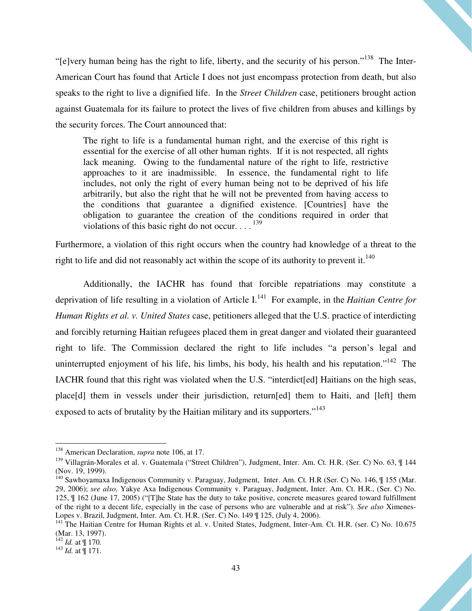"[e]very human being has the right to life, liberty, and the security of his person."<sup>138</sup> The Inter-American Court has found that Article I does not just encompass protection from death, but also speaks to the right to live a dignified life. In the *Street Children* case, petitioners brought action against Guatemala for its failure to protect the lives of five children from abuses and killings by the security forces. The Court announced that:

The right to life is a fundamental human right, and the exercise of this right is essential for the exercise of all other human rights. If it is not respected, all rights lack meaning. Owing to the fundamental nature of the right to life, restrictive approaches to it are inadmissible. In essence, the fundamental right to life includes, not only the right of every human being not to be deprived of his life arbitrarily, but also the right that he will not be prevented from having access to the conditions that guarantee a dignified existence. [Countries] have the obligation to guarantee the creation of the conditions required in order that violations of this basic right do not occur.  $\ldots$ <sup>139</sup>

Furthermore, a violation of this right occurs when the country had knowledge of a threat to the right to life and did not reasonably act within the scope of its authority to prevent it.<sup>140</sup>

Additionally, the IACHR has found that forcible repatriations may constitute a deprivation of life resulting in a violation of Article I.<sup>141</sup> For example, in the *Haitian Centre for Human Rights et al. v. United States* case, petitioners alleged that the U.S. practice of interdicting and forcibly returning Haitian refugees placed them in great danger and violated their guaranteed right to life. The Commission declared the right to life includes "a person's legal and uninterrupted enjoyment of his life, his limbs, his body, his health and his reputation."<sup>142</sup> The IACHR found that this right was violated when the U.S. "interdict[ed] Haitians on the high seas, place[d] them in vessels under their jurisdiction, return[ed] them to Haiti, and [left] them exposed to acts of brutality by the Haitian military and its supporters."<sup>143</sup>

 $\overline{\phantom{a}}$ 

<sup>138</sup> American Declaration, *supra* note 106, at 17.

<sup>&</sup>lt;sup>139</sup> Villagrán-Morales et al. v. Guatemala ("Street Children"), Judgment, Inter. Am. Ct. H.R. (Ser. C) No. 63, ¶ 144 (Nov. 19, 1999).

<sup>&</sup>lt;sup>140</sup> Sawhoyamaxa Indigenous Community v. Paraguay, Judgment, Inter. Am. Ct. H.R (Ser. C) No. 146, ¶ 155 (Mar. 29, 2006); *see also,* Yakye Axa Indigenous Community v. Paraguay, Judgment, Inter. Am. Ct. H.R., (Ser. C) No. 125, ¶ 162 (June 17, 2005) ("[T]he State has the duty to take positive, concrete measures geared toward fulfillment of the right to a decent life, especially in the case of persons who are vulnerable and at risk"). *See also* Ximenes-Lopes v. Brazil, Judgment, Inter. Am. Ct. H.R. (Ser. C) No. 149 ¶ 125, (July 4, 2006).

<sup>&</sup>lt;sup>141</sup> The Haitian Centre for Human Rights et al. v. United States, Judgment, Inter-Am. Ct. H.R. (ser. C) No. 10.675 (Mar. 13, 1997).

 $142$  *Id.* at  $\text{\textsterling} 170$ .

<sup>143</sup> *Id.* at ¶ 171.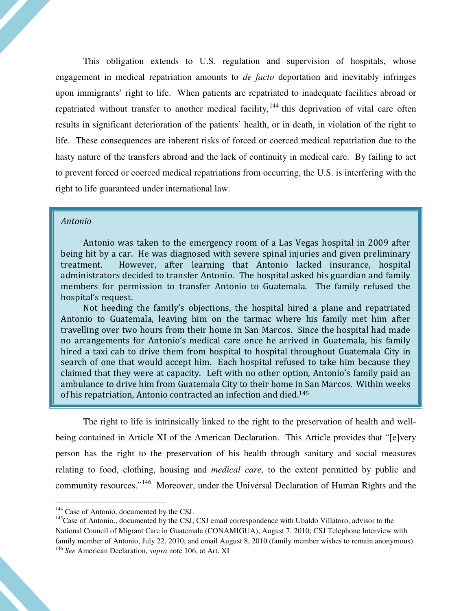This obligation extends to U.S. regulation and supervision of hospitals, whose engagement in medical repatriation amounts to *de facto* deportation and inevitably infringes upon immigrants' right to life. When patients are repatriated to inadequate facilities abroad or repatriated without transfer to another medical facility, $144$  this deprivation of vital care often results in significant deterioration of the patients' health, or in death, in violation of the right to life. These consequences are inherent risks of forced or coerced medical repatriation due to the hasty nature of the transfers abroad and the lack of continuity in medical care. By failing to act to prevent forced or coerced medical repatriations from occurring, the U.S. is interfering with the right to life guaranteed under international law.

#### Antonio

Antonio was taken to the emergency room of a Las Vegas hospital in 2009 after being hit by a car. He was diagnosed with severe spinal injuries and given preliminary treatment. However, after learning that Antonio lacked insurance, hospital administrators decided to transfer Antonio. The hospital asked his guardian and family members for permission to transfer Antonio to Guatemala. The family refused the hospital's request.

 Not heeding the family's objections, the hospital hired a plane and repatriated Antonio to Guatemala, leaving him on the tarmac where his family met him after travelling over two hours from their home in San Marcos. Since the hospital had made no arrangements for Antonio's medical care once he arrived in Guatemala, his family hired a taxi cab to drive them from hospital to hospital throughout Guatemala City in search of one that would accept him. Each hospital refused to take him because they claimed that they were at capacity. Left with no other option, Antonio's family paid an ambulance to drive him from Guatemala City to their home in San Marcos. Within weeks of his repatriation, Antonio contracted an infection and died.<sup>145</sup>

The right to life is intrinsically linked to the right to the preservation of health and wellbeing contained in Article XI of the American Declaration. This Article provides that "[e]very person has the right to the preservation of his health through sanitary and social measures relating to food, clothing, housing and *medical care*, to the extent permitted by public and community resources."<sup>146</sup> Moreover, under the Universal Declaration of Human Rights and the

<sup>&</sup>lt;sup>144</sup> Case of Antonio, documented by the CSJ.

<sup>&</sup>lt;sup>145</sup>Case of Antonio., documented by the CSJ; CSJ email correspondence with Ubaldo Villatoro, advisor to the National Council of Migrant Care in Guatemala (CONAMIGUA), August 7, 2010; CSJ Telephone Interview with family member of Antonio, July 22, 2010, and email August 8, 2010 (family member wishes to remain anonymous). <sup>146</sup> *See* American Declaration, *supra* note 106, at Art. XI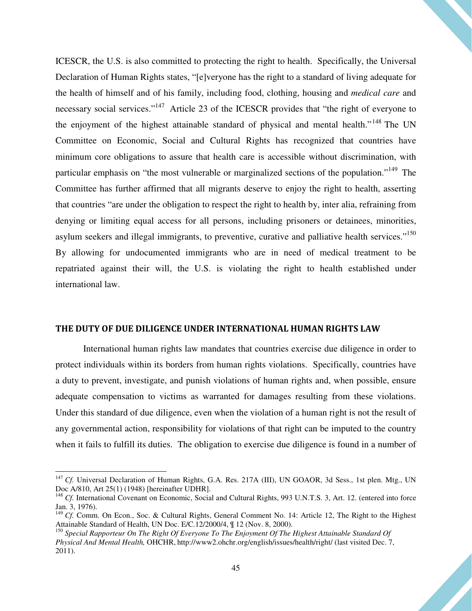ICESCR, the U.S. is also committed to protecting the right to health. Specifically, the Universal Declaration of Human Rights states, "[e]veryone has the right to a standard of living adequate for the health of himself and of his family, including food, clothing, housing and *medical care* and necessary social services."<sup>147</sup> Article 23 of the ICESCR provides that "the right of everyone to the enjoyment of the highest attainable standard of physical and mental health."<sup>148</sup> The UN Committee on Economic, Social and Cultural Rights has recognized that countries have minimum core obligations to assure that health care is accessible without discrimination, with particular emphasis on "the most vulnerable or marginalized sections of the population."<sup>149</sup> The Committee has further affirmed that all migrants deserve to enjoy the right to health, asserting that countries "are under the obligation to respect the right to health by, inter alia, refraining from denying or limiting equal access for all persons, including prisoners or detainees, minorities, asylum seekers and illegal immigrants, to preventive, curative and palliative health services."<sup>150</sup> By allowing for undocumented immigrants who are in need of medical treatment to be repatriated against their will, the U.S. is violating the right to health established under international law.

#### THE DUTY OF DUE DILIGENCE UNDER INTERNATIONAL HUMAN RIGHTS LAW

International human rights law mandates that countries exercise due diligence in order to protect individuals within its borders from human rights violations. Specifically, countries have a duty to prevent, investigate, and punish violations of human rights and, when possible, ensure adequate compensation to victims as warranted for damages resulting from these violations. Under this standard of due diligence, even when the violation of a human right is not the result of any governmental action, responsibility for violations of that right can be imputed to the country when it fails to fulfill its duties. The obligation to exercise due diligence is found in a number of

<sup>&</sup>lt;sup>147</sup> *Cf.* Universal Declaration of Human Rights, G.A. Res. 217A (III), UN GOAOR, 3d Sess., 1st plen. Mtg., UN Doc A/810, Art 25(1) (1948) [hereinafter UDHR].

<sup>&</sup>lt;sup>148</sup> *Cf.* International Covenant on Economic, Social and Cultural Rights, 993 U.N.T.S. 3, Art. 12. (entered into force Jan. 3, 1976).

<sup>&</sup>lt;sup>149</sup> *Cf.* Comm. On Econ., Soc. & Cultural Rights, General Comment No. 14: Article 12, The Right to the Highest Attainable Standard of Health, UN Doc. E/C.12/2000/4, ¶ 12 (Nov. 8, 2000).

<sup>150</sup> *Special Rapporteur On The Right Of Everyone To The Enjoyment Of The Highest Attainable Standard Of Physical And Mental Health,* OHCHR, http://www2.ohchr.org/english/issues/health/right/ (last visited Dec. 7, 2011).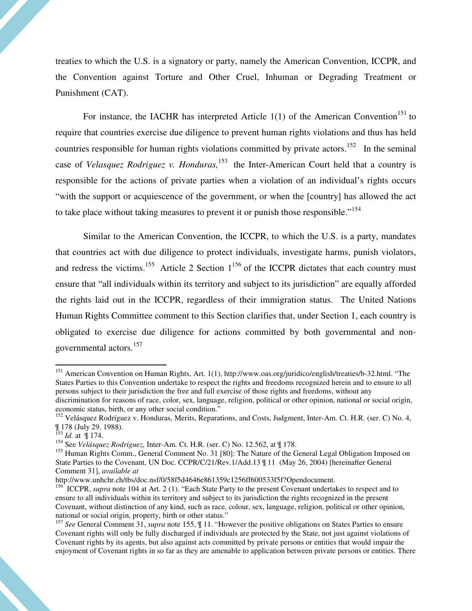treaties to which the U.S. is a signatory or party, namely the American Convention, ICCPR, and the Convention against Torture and Other Cruel, Inhuman or Degrading Treatment or Punishment (CAT).

For instance, the IACHR has interpreted Article  $1(1)$  of the American Convention<sup>151</sup> to require that countries exercise due diligence to prevent human rights violations and thus has held countries responsible for human rights violations committed by private actors.<sup>152</sup> In the seminal case of *Velasquez Rodriguez v. Honduras,*<sup>153</sup> the Inter-American Court held that a country is responsible for the actions of private parties when a violation of an individual's rights occurs "with the support or acquiescence of the government, or when the [country] has allowed the act to take place without taking measures to prevent it or punish those responsible."<sup>154</sup>

Similar to the American Convention, the ICCPR, to which the U.S. is a party, mandates that countries act with due diligence to protect individuals, investigate harms, punish violators, and redress the victims.<sup>155</sup> Article 2 Section  $1^{156}$  of the ICCPR dictates that each country must ensure that "all individuals within its territory and subject to its jurisdiction" are equally afforded the rights laid out in the ICCPR, regardless of their immigration status. The United Nations Human Rights Committee comment to this Section clarifies that, under Section 1, each country is obligated to exercise due diligence for actions committed by both governmental and nongovernmental actors.<sup>157</sup>

<sup>&</sup>lt;sup>151</sup> American Convention on Human Rights, Art. 1(1), http://www.oas.org/juridico/english/treaties/b-32.html. "The States Parties to this Convention undertake to respect the rights and freedoms recognized herein and to ensure to all persons subject to their jurisdiction the free and full exercise of those rights and freedoms, without any

discrimination for reasons of race, color, sex, language, religion, political or other opinion, national or social origin, economic status, birth, or any other social condition."

<sup>&</sup>lt;sup>152</sup> Velásquez Rodríguez v. Honduras, Merits, Reparations, and Costs, Judgment, Inter-Am. Ct. H.R. (ser. C) No. 4, ¶ 178 (July 29, 1988).

<sup>153</sup> *Id.* at ¶ 174.

<sup>154</sup> See *Velásquez Rodríguez,* Inter-Am. Ct. H.R. (ser. C) No. 12.562, at ¶ 178.

<sup>&</sup>lt;sup>155</sup> Human Rights Comm., General Comment No. 31 [80]: The Nature of the General Legal Obligation Imposed on State Parties to the Covenant, UN Doc. CCPR/C/21/Rev.1/Add.13 ¶ 11 (May 26, 2004) [hereinafter General Comment 31], *available at*

http://www.unhchr.ch/tbs/doc.nsf/0/58f5d4646e861359c1256ff600533f5f?Opendocument.

<sup>&</sup>lt;sup>156</sup> ICCPR, *supra* note 104 at Art. 2 (1). "Each State Party to the present Covenant undertakes to respect and to ensure to all individuals within its territory and subject to its jurisdiction the rights recognized in the present Covenant, without distinction of any kind, such as race, colour, sex, language, religion, political or other opinion, national or social origin, property, birth or other status."

<sup>157</sup> *See* General Comment 31, *supra* note 155, ¶ 11. "However the positive obligations on States Parties to ensure Covenant rights will only be fully discharged if individuals are protected by the State, not just against violations of Covenant rights by its agents, but also against acts committed by private persons or entities that would impair the enjoyment of Covenant rights in so far as they are amenable to application between private persons or entities. There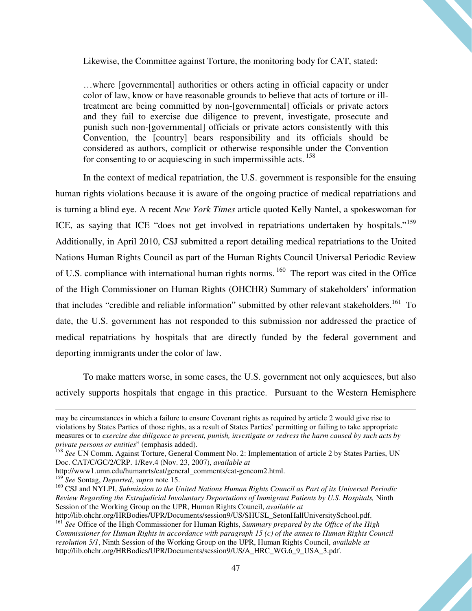Likewise, the Committee against Torture, the monitoring body for CAT, stated:

…where [governmental] authorities or others acting in official capacity or under color of law, know or have reasonable grounds to believe that acts of torture or illtreatment are being committed by non-[governmental] officials or private actors and they fail to exercise due diligence to prevent, investigate, prosecute and punish such non-[governmental] officials or private actors consistently with this Convention, the [country] bears responsibility and its officials should be considered as authors, complicit or otherwise responsible under the Convention for consenting to or acquiescing in such impermissible acts.<sup>158</sup>

In the context of medical repatriation, the U.S. government is responsible for the ensuing human rights violations because it is aware of the ongoing practice of medical repatriations and is turning a blind eye. A recent *New York Times* article quoted Kelly Nantel, a spokeswoman for ICE, as saying that ICE "does not get involved in repatriations undertaken by hospitals."<sup>159</sup> Additionally, in April 2010, CSJ submitted a report detailing medical repatriations to the United Nations Human Rights Council as part of the Human Rights Council Universal Periodic Review of U.S. compliance with international human rights norms.<sup>160</sup> The report was cited in the Office of the High Commissioner on Human Rights (OHCHR) Summary of stakeholders' information that includes "credible and reliable information" submitted by other relevant stakeholders.<sup>161</sup> To date, the U.S. government has not responded to this submission nor addressed the practice of medical repatriations by hospitals that are directly funded by the federal government and deporting immigrants under the color of law.

To make matters worse, in some cases, the U.S. government not only acquiesces, but also actively supports hospitals that engage in this practice. Pursuant to the Western Hemisphere

may be circumstances in which a failure to ensure Covenant rights as required by article 2 would give rise to violations by States Parties of those rights, as a result of States Parties' permitting or failing to take appropriate measures or to *exercise due diligence to prevent, punish, investigate or redress the harm caused by such acts by private persons or entities*" (emphasis added).

<sup>158</sup> *See* UN Comm. Against Torture, General Comment No. 2: Implementation of article 2 by States Parties, UN Doc. CAT/C/GC/2/CRP. 1/Rev.4 (Nov. 23, 2007), *available at*

http://www1.umn.edu/humanrts/cat/general\_comments/cat-gencom2.html.

<sup>159</sup> *See* Sontag, *Deported*, *supra* note 15.

<sup>160</sup> CSJ and NYLPI, *Submission to the United Nations Human Rights Council as Part of its Universal Periodic Review Regarding the Extrajudicial Involuntary Deportations of Immigrant Patients by U.S. Hospitals,* Ninth Session of the Working Group on the UPR, Human Rights Council, *available at*

http://lib.ohchr.org/HRBodies/UPR/Documents/session9/US/SHUSL\_SetonHallUniversitySchool.pdf. <sup>161</sup> *See* Office of the High Commissioner for Human Rights, *Summary prepared by the Office of the High* 

*Commissioner for Human Rights in accordance with paragraph 15 (c) of the annex to Human Rights Council resolution 5/1*, Ninth Session of the Working Group on the UPR, Human Rights Council, *available at* http://lib.ohchr.org/HRBodies/UPR/Documents/session9/US/A\_HRC\_WG.6\_9\_USA\_3.pdf.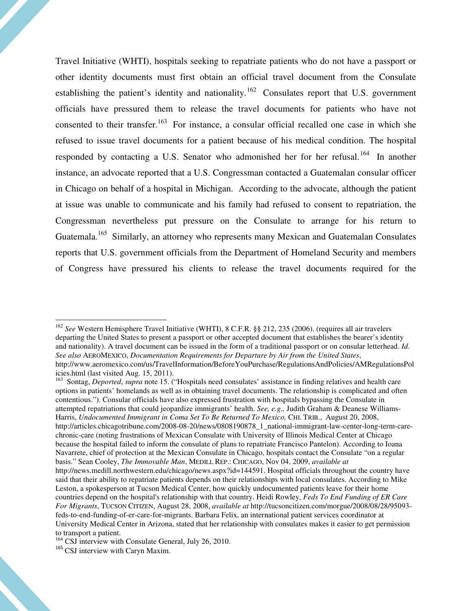Travel Initiative (WHTI), hospitals seeking to repatriate patients who do not have a passport or other identity documents must first obtain an official travel document from the Consulate establishing the patient's identity and nationality.<sup>162</sup> Consulates report that U.S. government officials have pressured them to release the travel documents for patients who have not consented to their transfer.<sup>163</sup> For instance, a consular official recalled one case in which she refused to issue travel documents for a patient because of his medical condition. The hospital responded by contacting a U.S. Senator who admonished her for her refusal.<sup>164</sup> In another instance, an advocate reported that a U.S. Congressman contacted a Guatemalan consular officer in Chicago on behalf of a hospital in Michigan. According to the advocate, although the patient at issue was unable to communicate and his family had refused to consent to repatriation, the Congressman nevertheless put pressure on the Consulate to arrange for his return to Guatemala.<sup>165</sup> Similarly, an attorney who represents many Mexican and Guatemalan Consulates reports that U.S. government officials from the Department of Homeland Security and members of Congress have pressured his clients to release the travel documents required for the

<sup>163</sup> Sontag, *Deported*, *supra* note 15. ("Hospitals need consulates' assistance in finding relatives and health care options in patients' homelands as well as in obtaining travel documents. The relationship is complicated and often contentious."). Consular officials have also expressed frustration with hospitals bypassing the Consulate in attempted repatriations that could jeopardize immigrants' health. *See, e.g.,* Judith Graham & Deanese Williams-Harris, *Undocumented Immigrant in Coma Set To Be Returned To Mexico,* CHI. TRIB., August 20, 2008, http://articles.chicagotribune.com/2008-08-20/news/0808190878\_1\_national-immigrant-law-center-long-term-carechronic-care (noting frustrations of Mexican Consulate with University of Illinois Medical Center at Chicago because the hospital failed to inform the consulate of plans to repatriate Francisco Pantelon). According to Ioana Navarrete, chief of protection at the Mexican Consulate in Chicago, hospitals contact the Consulate "on a regular basis." Sean Cooley, *The Immovable Man*, MEDILL REP.: CHICAGO, Nov 04, 2009, *available at* http://news.medill.northwestern.edu/chicago/news.aspx?id=144591. Hospital officials throughout the country have said that their ability to repatriate patients depends on their relationships with local consulates. According to Mike Leston, a spokesperson at Tucson Medical Center, how quickly undocumented patients leave for their home countries depend on the hospital's relationship with that country. Heidi Rowley, *Feds To End Funding of ER Care For Migrants*, TUCSON CITIZEN, August 28, 2008, *available at* http://tucsoncitizen.com/morgue/2008/08/28/95093 feds-to-end-funding-of-er-care-for-migrants. Barbara Felix, an international patient services coordinator at University Medical Center in Arizona, stated that her relationship with consulates makes it easier to get permission to transport a patient.

<sup>162</sup> *See* Western Hemisphere Travel Initiative (WHTI), 8 C.F.R. §§ 212, 235 (2006). (requires all air travelers departing the United States to present a passport or other accepted document that establishes the bearer's identity and nationality). A travel document can be issued in the form of a traditional passport or on consular letterhead. *Id*. *See also* AEROMEXICO, *Documentation Requirements for Departure by Air from the United States*, http://www.aeromexico.com/us/TravelInformation/BeforeYouPurchase/RegulationsAndPolicies/AMRegulationsPol icies.html (last visited Aug. 15, 2011).

 $^{164}$  CSJ interview with Consulate General, July 26, 2010.

<sup>&</sup>lt;sup>165</sup> CSJ interview with Caryn Maxim.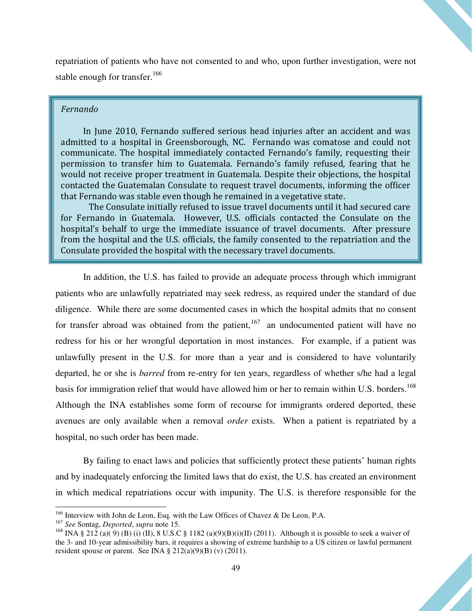repatriation of patients who have not consented to and who, upon further investigation, were not stable enough for transfer.<sup>166</sup>

#### Fernando

 In June 2010, Fernando suffered serious head injuries after an accident and was admitted to a hospital in Greensborough, NC. Fernando was comatose and could not communicate. The hospital immediately contacted Fernando's family, requesting their permission to transfer him to Guatemala. Fernando's family refused, fearing that he would not receive proper treatment in Guatemala. Despite their objections, the hospital contacted the Guatemalan Consulate to request travel documents, informing the officer that Fernando was stable even though he remained in a vegetative state.

The Consulate initially refused to issue travel documents until it had secured care for Fernando in Guatemala. However, U.S. officials contacted the Consulate on the hospital's behalf to urge the immediate issuance of travel documents. After pressure from the hospital and the U.S. officials, the family consented to the repatriation and the Consulate provided the hospital with the necessary travel documents.

In addition, the U.S. has failed to provide an adequate process through which immigrant patients who are unlawfully repatriated may seek redress, as required under the standard of due diligence. While there are some documented cases in which the hospital admits that no consent for transfer abroad was obtained from the patient,<sup>167</sup> an undocumented patient will have no redress for his or her wrongful deportation in most instances. For example, if a patient was unlawfully present in the U.S. for more than a year and is considered to have voluntarily departed, he or she is *barred* from re-entry for ten years, regardless of whether s/he had a legal basis for immigration relief that would have allowed him or her to remain within U.S. borders.<sup>168</sup> Although the INA establishes some form of recourse for immigrants ordered deported, these avenues are only available when a removal *order* exists. When a patient is repatriated by a hospital, no such order has been made.

By failing to enact laws and policies that sufficiently protect these patients' human rights and by inadequately enforcing the limited laws that do exist, the U.S. has created an environment in which medical repatriations occur with impunity. The U.S. is therefore responsible for the

<sup>&</sup>lt;sup>166</sup> Interview with John de Leon, Esq. with the Law Offices of Chavez & De Leon, P.A.

<sup>167</sup> *See* Sontag, *Deported*, *supra* note 15.

<sup>&</sup>lt;sup>168</sup> INA § 212 (a)(9) (B) (i) (II), 8 U.S.C § 1182 (a)(9)(B)(i)(II) (2011). Although it is possible to seek a waiver of the 3- and 10-year admissibility bars, it requires a showing of extreme hardship to a US citizen or lawful permanent resident spouse or parent. See INA  $\S 212(a)(9)(B)$  (v) (2011).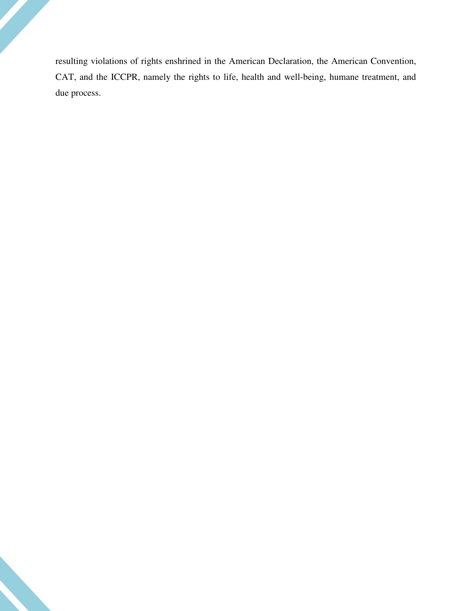resulting violations of rights enshrined in the American Declaration, the American Convention, CAT, and the ICCPR, namely the rights to life, health and well-being, humane treatment, and due process.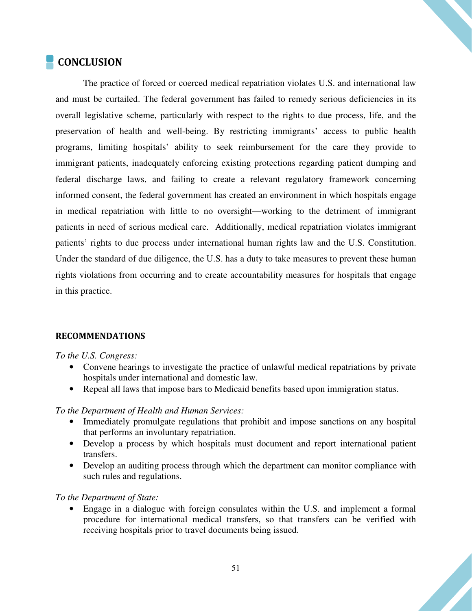# **CONCLUSION**

The practice of forced or coerced medical repatriation violates U.S. and international law and must be curtailed. The federal government has failed to remedy serious deficiencies in its overall legislative scheme, particularly with respect to the rights to due process, life, and the preservation of health and well-being. By restricting immigrants' access to public health programs, limiting hospitals' ability to seek reimbursement for the care they provide to immigrant patients, inadequately enforcing existing protections regarding patient dumping and federal discharge laws, and failing to create a relevant regulatory framework concerning informed consent, the federal government has created an environment in which hospitals engage in medical repatriation with little to no oversight—working to the detriment of immigrant patients in need of serious medical care. Additionally, medical repatriation violates immigrant patients' rights to due process under international human rights law and the U.S. Constitution. Under the standard of due diligence, the U.S. has a duty to take measures to prevent these human rights violations from occurring and to create accountability measures for hospitals that engage in this practice.

#### RECOMMENDATIONS

#### *To the U.S. Congress:*

- Convene hearings to investigate the practice of unlawful medical repatriations by private hospitals under international and domestic law.
- Repeal all laws that impose bars to Medicaid benefits based upon immigration status.

#### *To the Department of Health and Human Services:*

- Immediately promulgate regulations that prohibit and impose sanctions on any hospital that performs an involuntary repatriation.
- Develop a process by which hospitals must document and report international patient transfers.
- Develop an auditing process through which the department can monitor compliance with such rules and regulations.

#### *To the Department of State:*

• Engage in a dialogue with foreign consulates within the U.S. and implement a formal procedure for international medical transfers, so that transfers can be verified with receiving hospitals prior to travel documents being issued.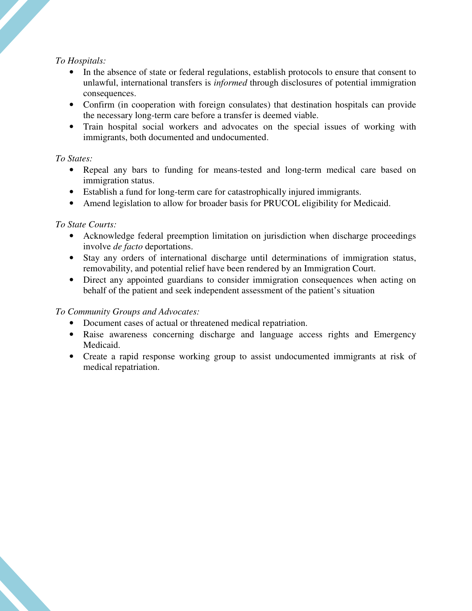#### *To Hospitals:*

- In the absence of state or federal regulations, establish protocols to ensure that consent to unlawful, international transfers is *informed* through disclosures of potential immigration consequences.
- Confirm (in cooperation with foreign consulates) that destination hospitals can provide the necessary long-term care before a transfer is deemed viable.
- Train hospital social workers and advocates on the special issues of working with immigrants, both documented and undocumented.

#### *To States:*

- Repeal any bars to funding for means-tested and long-term medical care based on immigration status.
- Establish a fund for long-term care for catastrophically injured immigrants.
- Amend legislation to allow for broader basis for PRUCOL eligibility for Medicaid.

#### *To State Courts:*

- Acknowledge federal preemption limitation on jurisdiction when discharge proceedings involve *de facto* deportations.
- Stay any orders of international discharge until determinations of immigration status, removability, and potential relief have been rendered by an Immigration Court.
- Direct any appointed guardians to consider immigration consequences when acting on behalf of the patient and seek independent assessment of the patient's situation

#### *To Community Groups and Advocates:*

- Document cases of actual or threatened medical repatriation.
- Raise awareness concerning discharge and language access rights and Emergency Medicaid.
- Create a rapid response working group to assist undocumented immigrants at risk of medical repatriation.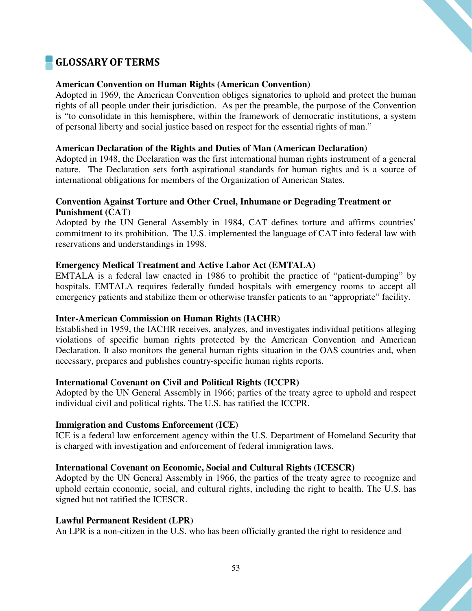# GLOSSARY OF TERMS

#### **American Convention on Human Rights (American Convention)**

Adopted in 1969, the American Convention obliges signatories to uphold and protect the human rights of all people under their jurisdiction. As per the preamble, the purpose of the Convention is "to consolidate in this hemisphere, within the framework of democratic institutions, a system of personal liberty and social justice based on respect for the essential rights of man."

#### **American Declaration of the Rights and Duties of Man (American Declaration)**

Adopted in 1948, the Declaration was the first international human rights instrument of a general nature. The Declaration sets forth aspirational standards for human rights and is a source of international obligations for members of the Organization of American States.

#### **Convention Against Torture and Other Cruel, Inhumane or Degrading Treatment or Punishment (CAT)**

Adopted by the UN General Assembly in 1984, CAT defines torture and affirms countries' commitment to its prohibition. The U.S. implemented the language of CAT into federal law with reservations and understandings in 1998.

#### **Emergency Medical Treatment and Active Labor Act (EMTALA)**

EMTALA is a federal law enacted in 1986 to prohibit the practice of "patient-dumping" by hospitals. EMTALA requires federally funded hospitals with emergency rooms to accept all emergency patients and stabilize them or otherwise transfer patients to an "appropriate" facility.

#### **Inter-American Commission on Human Rights (IACHR)**

Established in 1959, the IACHR receives, analyzes, and investigates individual petitions alleging violations of specific human rights protected by the American Convention and American Declaration. It also monitors the general human rights situation in the OAS countries and, when necessary, prepares and publishes country-specific human rights reports.

#### **International Covenant on Civil and Political Rights (ICCPR)**

Adopted by the UN General Assembly in 1966; parties of the treaty agree to uphold and respect individual civil and political rights. The U.S. has ratified the ICCPR.

#### **Immigration and Customs Enforcement (ICE)**

ICE is a federal law enforcement agency within the U.S. Department of Homeland Security that is charged with investigation and enforcement of federal immigration laws.

#### **International Covenant on Economic, Social and Cultural Rights (ICESCR)**

Adopted by the UN General Assembly in 1966, the parties of the treaty agree to recognize and uphold certain economic, social, and cultural rights, including the right to health. The U.S. has signed but not ratified the ICESCR.

#### **Lawful Permanent Resident (LPR)**

An LPR is a non-citizen in the U.S. who has been officially granted the right to residence and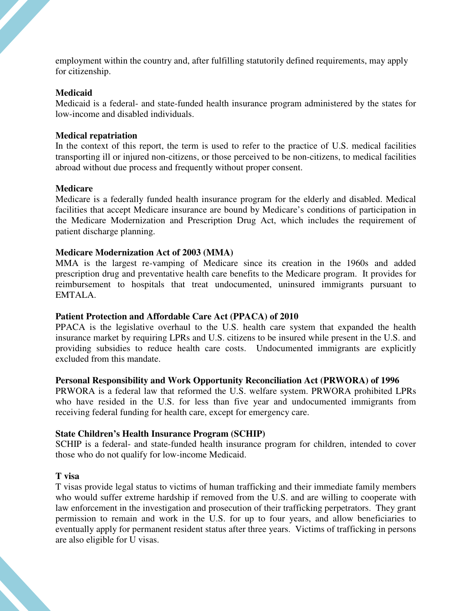employment within the country and, after fulfilling statutorily defined requirements, may apply for citizenship.

#### **Medicaid**

Medicaid is a federal- and state-funded health insurance program administered by the states for low-income and disabled individuals.

#### **Medical repatriation**

In the context of this report, the term is used to refer to the practice of U.S. medical facilities transporting ill or injured non-citizens, or those perceived to be non-citizens, to medical facilities abroad without due process and frequently without proper consent.

#### **Medicare**

Medicare is a federally funded health insurance program for the elderly and disabled. Medical facilities that accept Medicare insurance are bound by Medicare's conditions of participation in the Medicare Modernization and Prescription Drug Act, which includes the requirement of patient discharge planning.

#### **Medicare Modernization Act of 2003 (MMA)**

MMA is the largest re-vamping of Medicare since its creation in the 1960s and added prescription drug and preventative health care benefits to the Medicare program. It provides for reimbursement to hospitals that treat undocumented, uninsured immigrants pursuant to EMTALA.

#### **Patient Protection and Affordable Care Act (PPACA) of 2010**

PPACA is the legislative overhaul to the U.S. health care system that expanded the health insurance market by requiring LPRs and U.S. citizens to be insured while present in the U.S. and providing subsidies to reduce health care costs. Undocumented immigrants are explicitly excluded from this mandate.

#### **Personal Responsibility and Work Opportunity Reconciliation Act (PRWORA) of 1996**

PRWORA is a federal law that reformed the U.S. welfare system. PRWORA prohibited LPRs who have resided in the U.S. for less than five year and undocumented immigrants from receiving federal funding for health care, except for emergency care.

#### **State Children's Health Insurance Program (SCHIP)**

SCHIP is a federal- and state-funded health insurance program for children, intended to cover those who do not qualify for low-income Medicaid.

#### **T visa**

T visas provide legal status to victims of human trafficking and their immediate family members who would suffer extreme hardship if removed from the U.S. and are willing to cooperate with law enforcement in the investigation and prosecution of their trafficking perpetrators. They grant permission to remain and work in the U.S. for up to four years, and allow beneficiaries to eventually apply for permanent resident status after three years. Victims of trafficking in persons are also eligible for U visas.